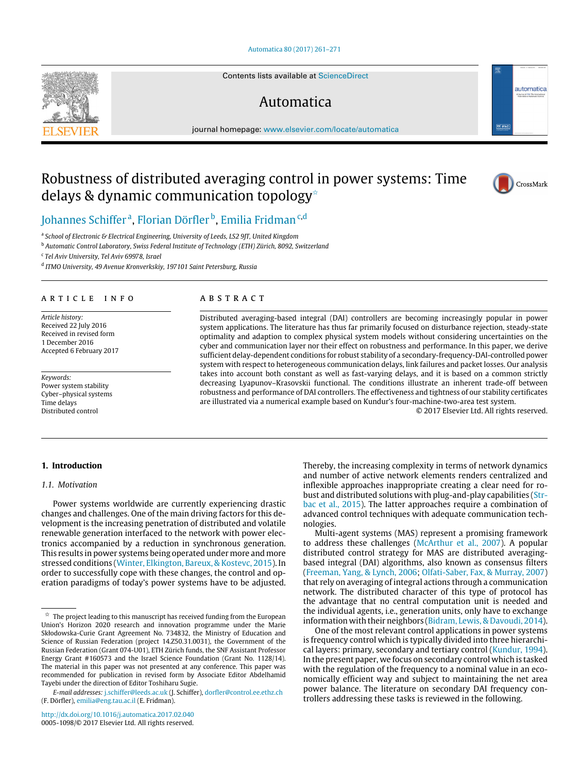## [Automatica 80 \(2017\) 261–271](http://dx.doi.org/10.1016/j.automatica.2017.02.040)

Contents lists available at [ScienceDirect](http://www.elsevier.com/locate/automatica)

## Automatica

journal homepage: [www.elsevier.com/locate/automatica](http://www.elsevier.com/locate/automatica)

# Robustness of distributed averaging control in power systems: Time delays & dynamic communication topology<sup>\*</sup>



 $\boxed{\nabla}$  IFA

automatica

[Johannes Schiffer](#page-10-0)<sup>[a](#page-0-1)</sup>, [Florian Dörfler](#page-10-1)<sup>[b](#page-0-2)</sup>, [Emilia Fridman](#page-10-2)<sup>[c](#page-0-3)[,d](#page-0-4)</sup>

<span id="page-0-1"></span>a *School of Electronic & Electrical Engineering, University of Leeds, LS2 9JT, United Kingdom*

<span id="page-0-2"></span><sup>b</sup> *Automatic Control Laboratory, Swiss Federal Institute of Technology (ETH) Zürich, 8092, Switzerland*

<span id="page-0-3"></span>c *Tel Aviv University, Tel Aviv 69978, Israel*

<span id="page-0-4"></span>d *ITMO University, 49 Avenue Kronverkskiy, 197101 Saint Petersburg, Russia*

## ARTICLE INFO

*Article history:* Received 22 July 2016 Received in revised form 1 December 2016 Accepted 6 February 2017

*Keywords:* Power system stability Cyber–physical systems Time delays Distributed control

## A B S T R A C T

Distributed averaging-based integral (DAI) controllers are becoming increasingly popular in power system applications. The literature has thus far primarily focused on disturbance rejection, steady-state optimality and adaption to complex physical system models without considering uncertainties on the cyber and communication layer nor their effect on robustness and performance. In this paper, we derive sufficient delay-dependent conditions for robust stability of a secondary-frequency-DAI-controlled power system with respect to heterogeneous communication delays, link failures and packet losses. Our analysis takes into account both constant as well as fast-varying delays, and it is based on a common strictly decreasing Lyapunov–Krasovskii functional. The conditions illustrate an inherent trade-off between robustness and performance of DAI controllers. The effectiveness and tightness of our stability certificates are illustrated via a numerical example based on Kundur's four-machine-two-area test system.

© 2017 Elsevier Ltd. All rights reserved.

## <span id="page-0-5"></span>**1. Introduction**

## *1.1. Motivation*

Power systems worldwide are currently experiencing drastic changes and challenges. One of the main driving factors for this development is the increasing penetration of distributed and volatile renewable generation interfaced to the network with power electronics accompanied by a reduction in synchronous generation. This results in power systems being operated under more and more stressed conditions [\(Winter,](#page-10-3) [Elkington,](#page-10-3) Bareux, & Kostevc, [2015\)](#page-10-3). In order to successfully cope with these changes, the control and operation paradigms of today's power systems have to be adjusted.

Thereby, the increasing complexity in terms of network dynamics and number of active network elements renders centralized and inflexible approaches inappropriate creating a clear need for ro[b](#page-10-4)ust and distributed solutions with plug-and-play capabilities [\(Str](#page-10-4)[bac](#page-10-4) [et al.,](#page-10-4) [2015\)](#page-10-4). The latter approaches require a combination of advanced control techniques with adequate communication technologies.

Multi-agent systems (MAS) represent a promising framework to address these challenges [\(McArthur](#page-9-0) [et al.,](#page-9-0) [2007\)](#page-9-0). A popular distributed control strategy for MAS are distributed averagingbased integral (DAI) algorithms, also known as consensus filters [\(Freeman,](#page-9-1) [Yang,](#page-9-1) [&](#page-9-1) [Lynch,](#page-9-1) [2006;](#page-9-1) [Olfati-Saber,](#page-9-2) [Fax,](#page-9-2) [&](#page-9-2) [Murray,](#page-9-2) [2007\)](#page-9-2) that rely on averaging of integral actions through a communication network. The distributed character of this type of protocol has the advantage that no central computation unit is needed and the individual agents, i.e., generation units, only have to exchange information with their neighbors [\(Bidram,](#page-9-3) Lewis, & [Davoudi,](#page-9-3) [2014\)](#page-9-3).

One of the most relevant control applications in power systems is frequency control which is typically divided into three hierarchical layers: primary, secondary and tertiary control [\(Kundur,](#page-9-4) [1994\)](#page-9-4). In the present paper, we focus on secondary control which is tasked with the regulation of the frequency to a nominal value in an economically efficient way and subject to maintaining the net area power balance. The literature on secondary DAI frequency controllers addressing these tasks is reviewed in the following.



<span id="page-0-0"></span> $\mathring{\mathbb{X}}$  The project leading to this manuscript has received funding from the European Union's Horizon 2020 research and innovation programme under the Marie Skłodowska-Curie Grant Agreement No. 734832, the Ministry of Education and Science of Russian Federation (project 14.Z50.31.0031), the Government of the Russian Federation (Grant 074-U01), ETH Zürich funds, the SNF Assistant Professor Energy Grant #160573 and the Israel Science Foundation (Grant No. 1128/14). The material in this paper was not presented at any conference. This paper was recommended for publication in revised form by Associate Editor Abdelhamid Tayebi under the direction of Editor Toshiharu Sugie.

*E-mail addresses:* [j.schiffer@leeds.ac.uk](mailto:j.schiffer@leeds.ac.uk) (J. Schiffer), [dorfler@control.ee.ethz.ch](mailto:dorfler@control.ee.ethz.ch) (F. Dörfler), [emilia@eng.tau.ac.il](mailto:emilia@eng.tau.ac.il) (E. Fridman).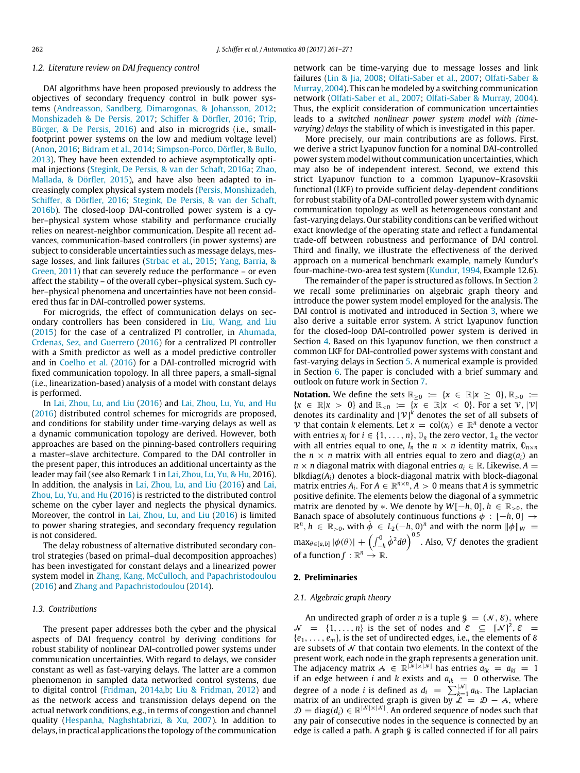#### *1.2. Literature review on DAI frequency control*

DAI algorithms have been proposed previously to address the objectives of secondary frequency control in bulk power systems [\(Andreasson,](#page-9-5) [Sandberg,](#page-9-5) [Dimarogonas,](#page-9-5) [&](#page-9-5) [Johansson,](#page-9-5) [2012;](#page-9-5) [Monshizadeh](#page-9-6) [&](#page-9-6) [De](#page-9-6) [Persis,](#page-9-6) [2017;](#page-9-6) [Schiffer](#page-9-7) [&](#page-9-7) [Dörfler,](#page-9-7) [2016;](#page-9-7) [Trip,](#page-10-5) [Bürger,](#page-10-5) [&](#page-10-5) [De](#page-10-5) [Persis,](#page-10-5) [2016\)](#page-10-5) and also in microgrids (i.e., smallfootprint power systems on the low and medium voltage level) [\(Anon,](#page-9-8) [2016;](#page-9-8) [Bidram](#page-9-3) [et al.,](#page-9-3) [2014;](#page-9-3) [Simpson-Porco,](#page-10-6) [Dörfler,](#page-10-6) [&](#page-10-6) [Bullo,](#page-10-6) [2013\)](#page-10-6). They have been extended to achieve asymptotically optimal injections [\(Stegink,](#page-10-7) [De](#page-10-7) [Persis,](#page-10-7) [&](#page-10-7) [van](#page-10-7) [der](#page-10-7) [Schaft,](#page-10-7) [2016a;](#page-10-7) [Zhao,](#page-10-8) [Mallada,](#page-10-8) [&](#page-10-8) [Dörfler,](#page-10-8) [2015\)](#page-10-8), and have also been adapted to increasingly complex physical system models [\(Persis,](#page-9-9) [Monshizadeh,](#page-9-9) [Schiffer,](#page-9-9) [&](#page-9-9) [Dörfler,](#page-9-9) [2016;](#page-9-9) [Stegink,](#page-10-9) [De](#page-10-9) [Persis,](#page-10-9) [&](#page-10-9) [van](#page-10-9) [der](#page-10-9) [Schaft,](#page-10-9) [2016b\)](#page-10-9). The closed-loop DAI-controlled power system is a cyber–physical system whose stability and performance crucially relies on nearest-neighbor communication. Despite all recent advances, communication-based controllers (in power systems) are subject to considerable uncertainties such as message delays, message losses, and link failures [\(Strbac](#page-10-4) [et al.,](#page-10-4) [2015;](#page-10-4) [Yang,](#page-10-10) [Barria,](#page-10-10) [&](#page-10-10) [Green,](#page-10-10) [2011\)](#page-10-10) that can severely reduce the performance – or even affect the stability – of the overall cyber–physical system. Such cyber–physical phenomena and uncertainties have not been considered thus far in DAI-controlled power systems.

For microgrids, the effect of communication delays on secondary controllers has been considered in [Liu,](#page-9-10) [Wang,](#page-9-10) [and](#page-9-10) [Liu](#page-9-10) [\(2015\)](#page-9-10) for the case of a centralized PI controller, in [Ahumada,](#page-9-11) [Crdenas,](#page-9-11) [Sez,](#page-9-11) [and](#page-9-11) [Guerrero](#page-9-11) [\(2016\)](#page-9-11) for a centralized PI controller with a Smith predictor as well as a model predictive controller and in [Coelho](#page-9-12) [et al.](#page-9-12) [\(2016\)](#page-9-12) for a DAI-controlled microgrid with fixed communication topology. In all three papers, a small-signal (i.e., linearization-based) analysis of a model with constant delays is performed.

In [Lai,](#page-9-13) [Zhou,](#page-9-13) [Lu,](#page-9-13) [and](#page-9-13) [Liu](#page-9-13) [\(2016\)](#page-9-13) and [Lai,](#page-9-14) [Zhou,](#page-9-14) [Lu,](#page-9-14) [Yu,](#page-9-14) [and](#page-9-14) [Hu](#page-9-14) [\(2016\)](#page-9-14) distributed control schemes for microgrids are proposed, and conditions for stability under time-varying delays as well as a dynamic communication topology are derived. However, both approaches are based on the pinning-based controllers requiring a master–slave architecture. Compared to the DAI controller in the present paper, this introduces an additional uncertainty as the leader may fail (see also Remark 1 in [Lai,](#page-9-14) [Zhou,](#page-9-14) [Lu,](#page-9-14) [Yu,](#page-9-14) [&](#page-9-14) [Hu,](#page-9-14) 2016). In addition, the analysis in [Lai,](#page-9-13) [Zhou,](#page-9-13) [Lu,](#page-9-13) [and](#page-9-13) [Liu](#page-9-13) [\(2016\)](#page-9-13) and [Lai,](#page-9-14) [Zhou,](#page-9-14) [Lu,](#page-9-14) [Yu,](#page-9-14) [and](#page-9-14) [Hu](#page-9-14) [\(2016\)](#page-9-14) is restricted to the distributed control scheme on the cyber layer and neglects the physical dynamics. Moreover, the control in [Lai,](#page-9-13) [Zhou,](#page-9-13) [Lu,](#page-9-13) [and](#page-9-13) [Liu](#page-9-13) [\(2016\)](#page-9-13) is limited to power sharing strategies, and secondary frequency regulation is not considered.

The delay robustness of alternative distributed secondary control strategies (based on primal–dual decomposition approaches) has been investigated for constant delays and a linearized power system model in [Zhang,](#page-10-11) [Kang,](#page-10-11) [McCulloch,](#page-10-11) [and](#page-10-11) [Papachristodoulou](#page-10-11) [\(2016\)](#page-10-11) and [Zhang](#page-10-12) [and](#page-10-12) [Papachristodoulou](#page-10-12) [\(2014\)](#page-10-12).

## *1.3. Contributions*

The present paper addresses both the cyber and the physical aspects of DAI frequency control by deriving conditions for robust stability of nonlinear DAI-controlled power systems under communication uncertainties. With regard to delays, we consider constant as well as fast-varying delays. The latter are a common phenomenon in sampled data networked control systems, due to digital control [\(Fridman,](#page-9-15) [2014a,b;](#page-9-15) [Liu](#page-9-16) [&](#page-9-16) [Fridman,](#page-9-16) [2012\)](#page-9-16) and as the network access and transmission delays depend on the actual network conditions, e.g., in terms of congestion and channel quality [\(Hespanha,](#page-9-17) [Naghshtabrizi,](#page-9-17) [&](#page-9-17) [Xu,](#page-9-17) [2007\)](#page-9-17). In addition to delays, in practical applications the topology of the communication network can be time-varying due to message losses and link failures [\(Lin](#page-9-18) [&](#page-9-18) [Jia,](#page-9-18) [2008;](#page-9-18) [Olfati-Saber](#page-9-2) [et al.,](#page-9-2) [2007;](#page-9-2) [Olfati-Saber](#page-9-19) [&](#page-9-19) [Murray,](#page-9-19) [2004\)](#page-9-19). This can be modeled by a switching communication network [\(Olfati-Saber](#page-9-2) [et al.,](#page-9-2) [2007;](#page-9-2) [Olfati-Saber](#page-9-19) [&](#page-9-19) [Murray,](#page-9-19) [2004\)](#page-9-19). Thus, the explicit consideration of communication uncertainties leads to a *switched nonlinear power system model with (timevarying) delays* the stability of which is investigated in this paper.

More precisely, our main contributions are as follows. First, we derive a strict Lyapunov function for a nominal DAI-controlled power system model without communication uncertainties, which may also be of independent interest. Second, we extend this strict Lyapunov function to a common Lyapunov–Krasovskii functional (LKF) to provide sufficient delay-dependent conditions for robust stability of a DAI-controlled power system with dynamic communication topology as well as heterogeneous constant and fast-varying delays. Our stability conditions can be verified without exact knowledge of the operating state and reflect a fundamental trade-off between robustness and performance of DAI control. Third and finally, we illustrate the effectiveness of the derived approach on a numerical benchmark example, namely Kundur's four-machine-two-area test system [\(Kundur,](#page-9-4) [1994,](#page-9-4) Example 12.6).

The remainder of the paper is structured as follows. In Section [2](#page-1-0) we recall some preliminaries on algebraic graph theory and introduce the power system model employed for the analysis. The DAI control is motivated and introduced in Section [3,](#page-2-0) where we also derive a suitable error system. A strict Lyapunov function for the closed-loop DAI-controlled power system is derived in Section [4.](#page-4-0) Based on this Lyapunov function, we then construct a common LKF for DAI-controlled power systems with constant and fast-varying delays in Section [5.](#page-4-1) A numerical example is provided in Section [6.](#page-6-0) The paper is concluded with a brief summary and outlook on future work in Section [7.](#page-7-0)

**Notation.** We define the sets  $\mathbb{R}_{\geq 0} := \{x \in \mathbb{R} | x \geq 0\}, \mathbb{R}_{>0} :=$  ${x \in \mathbb{R} | x > 0}$  and  $\mathbb{R}_{< 0} := \{ \overline{x} \in \mathbb{R} | x < 0 \}$ . For a set  $\mathcal{V}, |\mathcal{V}|$ denotes its cardinality and  $[\mathcal{V}]^k$  denotes the set of all subsets of V that contain *k* elements. Let  $x = col(x_i) \in \mathbb{R}^n$  denote a vector with entries  $x_i$  for  $i \in \{1, \ldots, n\}$ ,  $\mathbb{O}_n$  the zero vector,  $\mathbb{1}_n$  the vector with all entries equal to one,  $I_n$  the  $n \times n$  identity matrix,  $\mathbb{O}_{n \times n}$ the  $n \times n$  matrix with all entries equal to zero and diag( $a_i$ ) an  $n \times n$  diagonal matrix with diagonal entries  $a_i \in \mathbb{R}$ . Likewise,  $A =$ blkdiag(*Ai*) denotes a block-diagonal matrix with block-diagonal matrix entries  $A_i$ . For  $A \in \mathbb{R}^{n \times n}$ ,  $A > 0$  means that  $A$  is symmetric positive definite. The elements below the diagonal of a symmetric matrix are denoted by  $*$ . We denote by  $W[-h, 0], h \in \mathbb{R}_{>0}$ , the Banach space of absolutely continuous functions  $\phi : [-h, 0] \rightarrow$  $\mathbb{R}^n$ ,  $h \in \mathbb{R}_{>0}$ , with  $\dot{\phi} \in L_2(-h, 0)^n$  and with the norm  $\|\phi\|_W =$  $\max_{\theta \in [a,b]} |\phi(\theta)| + \left( \int_{-h}^0 \dot{\phi}^2 d\theta \right)^{0.5}$ . Also,  $\nabla f$  denotes the gradient of a function  $f : \mathbb{R}^n \to \mathbb{R}$ .

## <span id="page-1-0"></span>**2. Preliminaries**

## *2.1. Algebraic graph theory*

An undirected graph of order *n* is a tuple  $\mathcal{G} = (\mathcal{N}, \mathcal{E})$ , where  $\mathcal{N} = \{1, \ldots, n\}$  is the set of nodes and  $\mathcal{E} \subseteq [\mathcal{N}]^2, \mathcal{E} =$  ${e_1, \ldots, e_m}$ , is the set of undirected edges, i.e., the elements of  $\epsilon$ are subsets of  $\mathcal N$  that contain two elements. In the context of the present work, each node in the graph represents a generation unit. The adjacency matrix  $A \in \mathbb{R}^{|N| \times |N|}$  has entries  $a_{ik} = a_{ki} = 1$ if an edge between *i* and *k* exists and  $a_{ik} = 0$  otherwise. The degree of a node *i* is defined as  $d_i = \sum_{k=1}^{n} a_{ik}$ . The Laplacian matrix of an undirected graph is given by  $\mathcal{L} = \mathcal{D} - \mathcal{A}$ , where  $\mathcal{D} = \text{diag}(d_i) \in \mathbb{R}^{|\mathcal{N}| \times |\mathcal{N}|}$ . An ordered sequence of nodes such that any pair of consecutive nodes in the sequence is connected by an edge is called a path. A graph  $g$  is called connected if for all pairs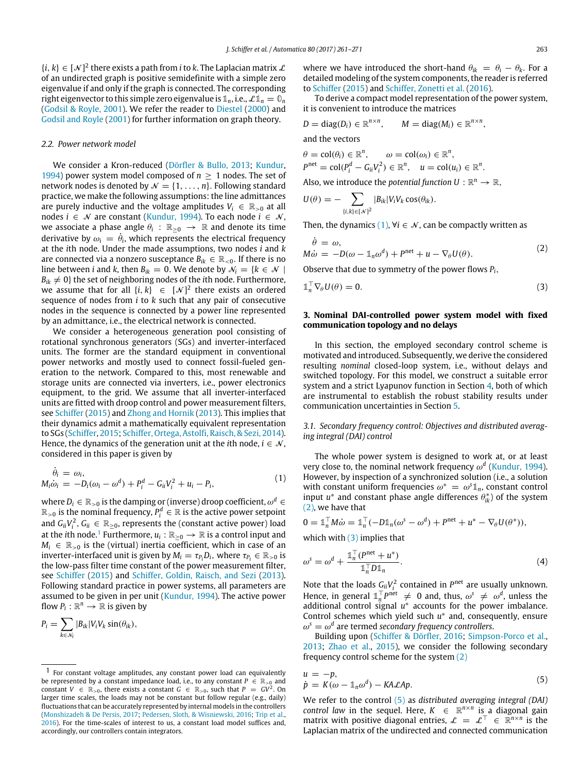$\{i, k\} \in [\mathcal{N}]^2$  there exists a path from *i* to *k*. The Laplacian matrix  $\mathcal{L}$ of an undirected graph is positive semidefinite with a simple zero eigenvalue if and only if the graph is connected. The corresponding right eigenvector to this simple zero eigenvalue is  $\mathbb{1}_n$ , i.e.,  $\mathcal{L}\mathbb{1}_n = \mathbb{0}_n$ [\(Godsil](#page-9-20) [&](#page-9-20) [Royle,](#page-9-20) [2001\)](#page-9-20). We refer the reader to [Diestel](#page-9-21) [\(2000\)](#page-9-21) and [Godsil](#page-9-20) [and](#page-9-20) [Royle](#page-9-20) [\(2001\)](#page-9-20) for further information on graph theory.

#### *2.2. Power network model*

We consider a Kron-reduced [\(Dörfler](#page-9-22) [&](#page-9-22) [Bullo,](#page-9-22) [2013;](#page-9-22) [Kundur,](#page-9-4) [1994\)](#page-9-4) power system model composed of  $n \geq 1$  nodes. The set of network nodes is denoted by  $\mathcal{N} = \{1, \ldots, n\}$ . Following standard practice, we make the following assumptions: the line admittances are purely inductive and the voltage amplitudes  $V_i \in \mathbb{R}_{>0}$  at all nodes *i* ∈  $N$  are constant [\(Kundur,](#page-9-4) [1994\)](#page-9-4). To each node *i* ∈  $N$ , we associate a phase angle  $\theta_i$  :  $\mathbb{R}_{\geq 0} \to \mathbb{R}$  and denote its time derivative by  $\omega_i = \dot{\theta}_i$ , which represents the electrical frequency at the *i*th node. Under the made assumptions, two nodes *i* and *k* are connected via a nonzero susceptance  $B_{ik} \in \mathbb{R}_{\leq 0}$ . If there is no line between *i* and *k*, then  $B_{ik} = 0$ . We denote by  $\mathcal{N}_i = \{k \in \mathcal{N} \mid$  $B_{ik} \neq 0$ } the set of neighboring nodes of the *i*th node. Furthermore, we assume that for all  $\{i, k\} \in [\mathcal{N}]^2$  there exists an ordered sequence of nodes from *i* to *k* such that any pair of consecutive nodes in the sequence is connected by a power line represented by an admittance, i.e., the electrical network is connected.

We consider a heterogeneous generation pool consisting of rotational synchronous generators (SGs) and inverter-interfaced units. The former are the standard equipment in conventional power networks and mostly used to connect fossil-fueled generation to the network. Compared to this, most renewable and storage units are connected via inverters, i.e., power electronics equipment, to the grid. We assume that all inverter-interfaced units are fitted with droop control and power measurement filters, see [Schiffer](#page-9-23) [\(2015\)](#page-9-23) and [Zhong](#page-10-13) [and](#page-10-13) [Hornik](#page-10-13) [\(2013\)](#page-10-13). This implies that their dynamics admit a mathematically equivalent representation to SGs [\(Schiffer,](#page-9-23) [2015;](#page-9-23) [Schiffer,](#page-10-14) [Ortega,](#page-10-14) [Astolfi,](#page-10-14) Raisch, & Sezi, [2014\)](#page-10-14). Hence, the dynamics of the generation unit at the *i*th node,  $i \in \mathcal{N}$ , considered in this paper is given by

$$
\dot{\theta}_i = \omega_i, \nM_i \dot{\omega}_i = -D_i(\omega_i - \omega^d) + P_i^d - G_{ii}V_i^2 + u_i - P_i,
$$
\n(1)

where  $D_i \in \mathbb{R}_{>0}$  is the damping or (inverse) droop coefficient,  $\omega^d \in$  $\mathbb{R}_{>0}$  is the nominal frequency,  $P_i^d \in \mathbb{R}$  is the active power setpoint and  $G_{ii}V_i^2, G_{ii} \in \mathbb{R}_{\geq 0}$ , represents the (constant active power) load at the *i*th node.<sup>[1](#page-2-1)</sup> Furthermore,  $u_i:\mathbb{R}_{\geq 0} \rightarrow \mathbb{R}$  is a control input and  $M_i \in \mathbb{R}_{>0}$  is the (virtual) inertia coefficient, which in case of an inverter-interfaced unit is given by  $M_i = \tau_{P_i} D_i$ , where  $\tau_{P_i} \in \mathbb{R}_{>0}$  is the low-pass filter time constant of the power measurement filter, see [Schiffer](#page-9-23) [\(2015\)](#page-9-23) and [Schiffer,](#page-10-15) [Goldin,](#page-10-15) [Raisch,](#page-10-15) [and](#page-10-15) [Sezi](#page-10-15) [\(2013\)](#page-10-15). Following standard practice in power systems, all parameters are assumed to be given in per unit [\(Kundur,](#page-9-4) [1994\)](#page-9-4). The active power flow  $P_i: \mathbb{R}^n \to \mathbb{R}$  is given by

$$
P_i = \sum_{k \in \mathcal{N}_i} |B_{ik}| V_i V_k \sin(\theta_{ik}),
$$

where we have introduced the short-hand  $\theta_{ik} = \theta_i - \theta_k$ . For a detailed modeling of the system components, the reader is referred to [Schiffer](#page-9-23) [\(2015\)](#page-9-23) and [Schiffer,](#page-10-16) [Zonetti](#page-10-16) [et al.](#page-10-16) [\(2016\)](#page-10-16).

To derive a compact model representation of the power system, it is convenient to introduce the matrices

$$
D = \text{diag}(D_i) \in \mathbb{R}^{n \times n}, \qquad M = \text{diag}(M_i) \in \mathbb{R}^{n \times n},
$$

and the vectors

$$
\theta = \text{col}(\theta_i) \in \mathbb{R}^n, \qquad \omega = \text{col}(\omega_i) \in \mathbb{R}^n,
$$
  
\n
$$
P^{\text{net}} = \text{col}(P_i^d - G_{ii}V_i^2) \in \mathbb{R}^n, \quad u = \text{col}(u_i) \in \mathbb{R}^n.
$$

Also, we introduce the *potential function*  $U : \mathbb{R}^n \to \mathbb{R}$ ,

$$
U(\theta) = - \sum_{\{i,k\} \in [\mathcal{N}]^2} |B_{ik}| V_i V_k \cos(\theta_{ik}).
$$

Then, the dynamics  $(1)$ ,  $\forall i \in \mathcal{N}$ , can be compactly written as

<span id="page-2-3"></span>
$$
\dot{\theta} = \omega,
$$
  
\n
$$
M\dot{\omega} = -D(\omega - \mathbb{1}_n \omega^d) + P^{net} + u - \nabla_{\theta} U(\theta).
$$
\n(2)

Observe that due to symmetry of the power flows *Pi*,

<span id="page-2-4"></span>
$$
\mathbb{1}_n^\top \nabla_\theta U(\theta) = 0. \tag{3}
$$

## <span id="page-2-0"></span>**3. Nominal DAI-controlled power system model with fixed communication topology and no delays**

In this section, the employed secondary control scheme is motivated and introduced. Subsequently, we derive the considered resulting *nominal* closed-loop system, i.e., without delays and switched topology. For this model, we construct a suitable error system and a strict Lyapunov function in Section [4,](#page-4-0) both of which are instrumental to establish the robust stability results under communication uncertainties in Section [5.](#page-4-1)

<span id="page-2-7"></span>*3.1. Secondary frequency control: Objectives and distributed averaging integral (DAI) control*

<span id="page-2-2"></span>The whole power system is designed to work at, or at least very close to, the nominal network frequency  $\omega^d$  [\(Kundur,](#page-9-4) [1994\)](#page-9-4). However, by inspection of a synchronized solution (i.e., a solution with constant uniform frequencies  $\omega^* = \omega^s \mathbb{1}_n$ , constant control input  $u^*$  and constant phase angle differences  $\theta_{ik}^*$  of the system [\(2\),](#page-2-3) we have that

$$
0 = \mathbb{1}_n^{\top} M \dot{\omega} = \mathbb{1}_n^{\top} (-D \mathbb{1}_n (\omega^s - \omega^d) + P^{net} + u^* - \nabla_{\theta} U(\theta^*)),
$$
  
which with (3) implies that

<span id="page-2-6"></span>
$$
\omega^s = \omega^d + \frac{\mathbb{1}_n^{\top}(P^{\text{net}} + u^*)}{\mathbb{1}_n^{\top} D \mathbb{1}_n}.
$$
\n(4)

Note that the loads  $G_{ii}V_i^2$  contained in  $P^{net}$  are usually unknown. Hence, in general  $\mathbb{1}_n^{\top}P^{net} \neq 0$  and, thus,  $\omega^s \neq \omega^d$ , unless the additional control signal *u* ∗ accounts for the power imbalance. Control schemes which yield such *u* ∗ and, consequently, ensure  $\omega^s = \omega^d$  are termed *secondary frequency controllers*.

Building upon [\(Schiffer](#page-9-7) [&](#page-9-7) [Dörfler,](#page-9-7) [2016;](#page-9-7) [Simpson-Porco](#page-10-6) [et al.,](#page-10-6) [2013;](#page-10-6) [Zhao](#page-10-8) [et al.,](#page-10-8) [2015\)](#page-10-8), we consider the following secondary frequency control scheme for the system [\(2\)](#page-2-3)

<span id="page-2-5"></span>
$$
u = -p,
$$
  
\n
$$
\dot{p} = K(\omega - \mathbb{1}_n \omega^d) - K A \mathcal{L} A p.
$$
\n(5)

We refer to the control [\(5\)](#page-2-5) as *distributed averaging integral (DAI) control law* in the sequel. Here,  $K \in \mathbb{R}^{n \times n}$  is a diagonal gain matrix with positive diagonal entries,  $\mathcal{L} = \mathcal{L}^{\top} \in \mathbb{R}^{n \times n}$  is the Laplacian matrix of the undirected and connected communication

<span id="page-2-1"></span><sup>1</sup> For constant voltage amplitudes, any constant power load can equivalently be represented by a constant impedance load, i.e., to any constant  $P \in \mathbb{R}_{\geq 0}$  and constant  $V \in \mathbb{R}_{>0}$ , there exists a constant  $G \in \mathbb{R}_{>0}$ , such that  $P = GV^2$ . On larger time scales, the loads may not be constant but follow regular (e.g., daily) fluctuations that can be accurately represented by internal models in the controllers [\(Monshizadeh](#page-9-6) [&](#page-9-6) [De](#page-9-6) [Persis,](#page-9-6) [2017;](#page-9-6) [Pedersen,](#page-9-24) [Sloth,](#page-9-24) [&](#page-9-24) [Wisniewski,](#page-9-24) [2016;](#page-9-24) [Trip](#page-10-5) [et al.,](#page-10-5) [2016\)](#page-10-5). For the time-scales of interest to us, a constant load model suffices and, accordingly, our controllers contain integrators.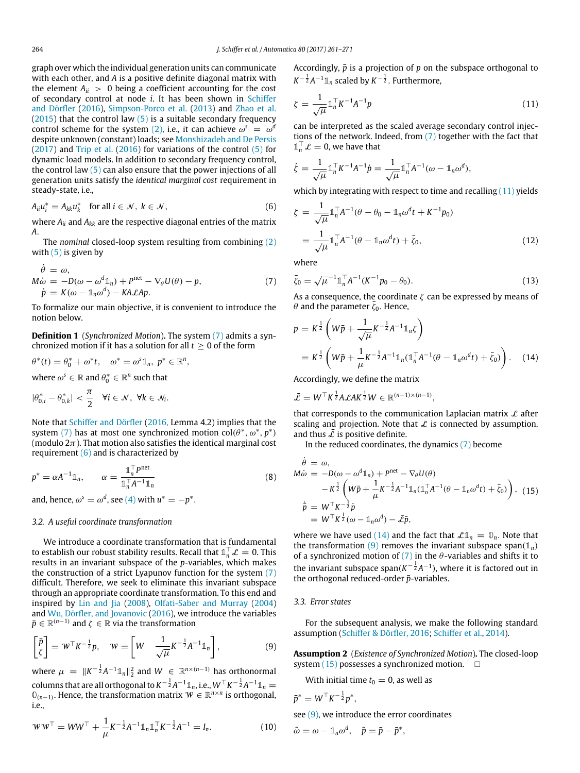graph over which the individual generation units can communicate with each other, and *A* is a positive definite diagonal matrix with the element  $A_{ii} > 0$  being a coefficient accounting for the cost of secondary control at node *i*. It has been shown in [Schiffer](#page-9-7) [and](#page-9-7) [Dörfler](#page-9-7) [\(2016\)](#page-9-7), [Simpson-Porco](#page-10-6) [et al.](#page-10-6) [\(2013\)](#page-10-6) and [Zhao](#page-10-8) [et al.](#page-10-8) [\(2015\)](#page-10-8) that the control law  $(5)$  is a suitable secondary frequency control scheme for the system [\(2\),](#page-2-3) i.e., it can achieve  $\omega^s = \omega^d$ despite unknown (constant) loads; see [Monshizadeh](#page-9-6) [and](#page-9-6) [De](#page-9-6) [Persis](#page-9-6) [\(2017\)](#page-9-6) and [Trip](#page-10-5) [et al.](#page-10-5) [\(2016\)](#page-10-5) for variations of the control [\(5\)](#page-2-5) for dynamic load models. In addition to secondary frequency control, the control law  $(5)$  can also ensure that the power injections of all generation units satisfy the *identical marginal cost* requirement in steady-state, i.e.,

$$
A_{ii}u_i^* = A_{kk}u_k^* \quad \text{for all } i \in \mathcal{N}, \ k \in \mathcal{N}, \tag{6}
$$

where *Aii* and *Akk* are the respective diagonal entries of the matrix *A*.

The *nominal* closed-loop system resulting from combining [\(2\)](#page-2-3) with  $(5)$  is given by

$$
\dot{\theta} = \omega,
$$
  
\n
$$
M\dot{\omega} = -D(\omega - \omega^d 1_n) + P^{net} - \nabla_{\theta} U(\theta) - p,
$$
  
\n
$$
\dot{p} = K(\omega - 1_n\omega^d) - K A \mathcal{L} A p.
$$
\n(7)

To formalize our main objective, it is convenient to introduce the notion below.

**Definition 1** (*Synchronized Motion*)**.** The system [\(7\)](#page-3-0) admits a synchronized motion if it has a solution for all  $t \geq 0$  of the form

$$
\theta^*(t) = \theta_0^* + \omega^* t, \quad \omega^* = \omega^s \mathbb{1}_n, \ p^* \in \mathbb{R}^n,
$$

where  $\omega^s \in \mathbb{R}$  and  $\theta^*_0 \in \mathbb{R}^n$  such that

$$
|\theta_{0,i}^*-\theta_{0,k}^*|<\frac{\pi}{2}\quad\forall i\in\mathcal{N},\ \forall k\in\mathcal{N}_i.
$$

Note that [Schiffer](#page-9-7) [and](#page-9-7) [Dörfler](#page-9-7) [\(2016,](#page-9-7) Lemma 4.2) implies that the system [\(7\)](#page-3-0) has at most one synchronized motion  $col(\theta^*, \omega^*, p^*)$ (modulo  $2\pi$ ). That motion also satisfies the identical marginal cost requirement [\(6\)](#page-3-1) and is characterized by

$$
p^* = \alpha A^{-1} \mathbb{1}_n, \qquad \alpha = \frac{\mathbb{1}_n^{\top} P^{net}}{\mathbb{1}_n^{\top} A^{-1} \mathbb{1}_n}
$$
 (8)

and, hence,  $\omega^s = \omega^d$ , see [\(4\)](#page-2-6) with  $u^* = -p^*$ .

#### *3.2. A useful coordinate transformation*

We introduce a coordinate transformation that is fundamental to establish our robust stability results. Recall that  $\mathbb{1}_n^\top \mathcal{L} = 0$ . This results in an invariant subspace of the *p*-variables, which makes the construction of a strict Lyapunov function for the system [\(7\)](#page-3-0) difficult. Therefore, we seek to eliminate this invariant subspace through an appropriate coordinate transformation. To this end and inspired by [Lin](#page-9-18) [and](#page-9-18) [Jia](#page-9-18) [\(2008\)](#page-9-18), [Olfati-Saber](#page-9-19) [and](#page-9-19) [Murray](#page-9-19) [\(2004\)](#page-9-19) and [Wu,](#page-10-17) [Dörfler,](#page-10-17) [and](#page-10-17) [Jovanovic](#page-10-17) [\(2016\)](#page-10-17), we introduce the variables  $\bar{p} \in \mathbb{R}^{(n-1)}$  and  $\zeta \in \mathbb{R}$  via the transformation

$$
\begin{bmatrix} \bar{p} \\ \zeta \end{bmatrix} = W^{\top} K^{-\frac{1}{2}} p, \quad W = \begin{bmatrix} W & \frac{1}{\sqrt{\mu}} K^{-\frac{1}{2}} A^{-1} \mathbb{1}_n \end{bmatrix}, \tag{9}
$$

where  $\mu = \|K^{-\frac{1}{2}}A^{-1}1\|_n\|_2^2$  and  $W \in \mathbb{R}^{n \times (n-1)}$  has orthonormal  $\mathcal{L}$  columns that are all orthogonal to  $K^{-\frac{1}{2}}A^{-1}\mathbb{1}_n$ , i.e.,  $W^\top K^{-\frac{1}{2}}A^{-1}\mathbb{1}_n = 0$ **0**(*n*−1) . Hence, the transformation matrix W ∈ R *n*×*n* is orthogonal, i.e.,

$$
WW^{\top} = WW^{\top} + \frac{1}{\mu} K^{-\frac{1}{2}} A^{-1} \mathbb{1}_n \mathbb{1}_n^{\top} K^{-\frac{1}{2}} A^{-1} = I_n.
$$
 (10)

Accordingly,  $\bar{p}$  is a projection of  $p$  on the subspace orthogonal to  $K^{-\frac{1}{2}}A^{-1}\mathbb{1}_n$  scaled by  $K^{-\frac{1}{2}}$ . Furthermore,

<span id="page-3-2"></span>
$$
\zeta = \frac{1}{\sqrt{\mu}} \mathbb{1}_n^\top K^{-1} A^{-1} p \tag{11}
$$

can be interpreted as the scaled average secondary control injections of the network. Indeed, from [\(7\)](#page-3-0) together with the fact that  $\mathbb{1}_n^{\top} \mathcal{L} = 0$ , we have that

$$
\dot{\zeta} = \frac{1}{\sqrt{\mu}} \mathbb{1}_n^\top K^{-1} A^{-1} \dot{p} = \frac{1}{\sqrt{\mu}} \mathbb{1}_n^\top A^{-1} (\omega - \mathbb{1}_n \omega^d),
$$

which by integrating with respect to time and recalling  $(11)$  yields

<span id="page-3-1"></span>
$$
\zeta = \frac{1}{\sqrt{\mu}} \mathbb{1}_n^{\top} A^{-1} (\theta - \theta_0 - \mathbb{1}_n \omega^d t + K^{-1} p_0)
$$
  
= 
$$
\frac{1}{\sqrt{\mu}} \mathbb{1}_n^{\top} A^{-1} (\theta - \mathbb{1}_n \omega^d t) + \bar{\zeta}_0,
$$
 (12)

<span id="page-3-7"></span><span id="page-3-0"></span>where

$$
\bar{\zeta}_0 = \sqrt{\mu}^{-1} \mathbb{1}_n^{\top} A^{-1} (K^{-1} p_0 - \theta_0).
$$
 (13)

As a consequence, the coordinate  $\zeta$  can be expressed by means of  $\theta$  and the parameter  $\bar{\zeta}_0$ . Hence,

<span id="page-3-3"></span>
$$
p = K^{\frac{1}{2}} \left( W \bar{p} + \frac{1}{\sqrt{\mu}} K^{-\frac{1}{2}} A^{-1} \mathbb{1}_n \zeta \right)
$$
  
=  $K^{\frac{1}{2}} \left( W \bar{p} + \frac{1}{\mu} K^{-\frac{1}{2}} A^{-1} \mathbb{1}_n (\mathbb{1}_n^\top A^{-1} (\theta - \mathbb{1}_n \omega^d t) + \bar{\zeta}_0) \right).$  (14)

Accordingly, we define the matrix

$$
\bar{\mathcal{L}} = W^\top K^{\frac{1}{2}} A \mathcal{L} A K^{\frac{1}{2}} W \in \mathbb{R}^{(n-1)\times(n-1)},
$$

that corresponds to the communication Laplacian matrix  $\mathcal L$  after scaling and projection. Note that  $\mathcal L$  is connected by assumption, and thus  $\overline{L}$  is positive definite.

<span id="page-3-5"></span>In the reduced coordinates, the dynamics [\(7\)](#page-3-0) become

<span id="page-3-6"></span>
$$
\dot{\theta} = \omega,
$$
  
\n
$$
M\dot{\omega} = -D(\omega - \omega^{d}\mathbb{1}_{n}) + P^{net} - \nabla_{\theta}U(\theta)
$$
  
\n
$$
-K^{\frac{1}{2}}\left(W\bar{p} + \frac{1}{\mu}K^{-\frac{1}{2}}A^{-1}\mathbb{1}_{n}(\mathbb{1}_{n}^{\top}A^{-1}(\theta - \mathbb{1}_{n}\omega^{d}t) + \bar{\zeta}_{0})\right), (15)
$$
  
\n
$$
\dot{\bar{p}} = W^{\top}K^{-\frac{1}{2}}\dot{p}
$$
  
\n
$$
= W^{\top}K^{\frac{1}{2}}(\omega - \mathbb{1}_{n}\omega^{d}) - \bar{\mathcal{L}}\bar{p},
$$

where we have used [\(14\)](#page-3-3) and the fact that  $\mathcal{L}\mathbb{1}_n = \mathbb{0}_n$ . Note that the transformation [\(9\)](#page-3-4) removes the invariant subspace span( $\mathbb{1}_n$ ) of a synchronized motion of  $(7)$  in the  $\theta$ -variables and shifts it to the invariant subspace span $(K^{-\frac{1}{2}}A^{-1})$ , where it is factored out in the orthogonal reduced-order  $\bar{p}$ -variables.

#### *3.3. Error states*

For the subsequent analysis, we make the following standard assumption [\(Schiffer](#page-9-7) [&](#page-9-7) [Dörfler,](#page-9-7) [2016;](#page-9-7) [Schiffer](#page-10-14) [et al.,](#page-10-14) [2014\)](#page-10-14).

<span id="page-3-4"></span>**Assumption 2** (*Existence of Synchronized Motion*)**.** The closed-loop system  $(15)$  possesses a synchronized motion.  $\square$ 

<span id="page-3-8"></span>With initial time  $t_0 = 0$ , as well as

$$
\bar{p}^* = W^\top K^{-\frac{1}{2}} p^*,
$$

see [\(9\),](#page-3-4) we introduce the error coordinates

$$
\tilde{\omega} = \omega - \mathbb{1}_n \omega^d, \quad \tilde{p} = \bar{p} - \bar{p}^*,
$$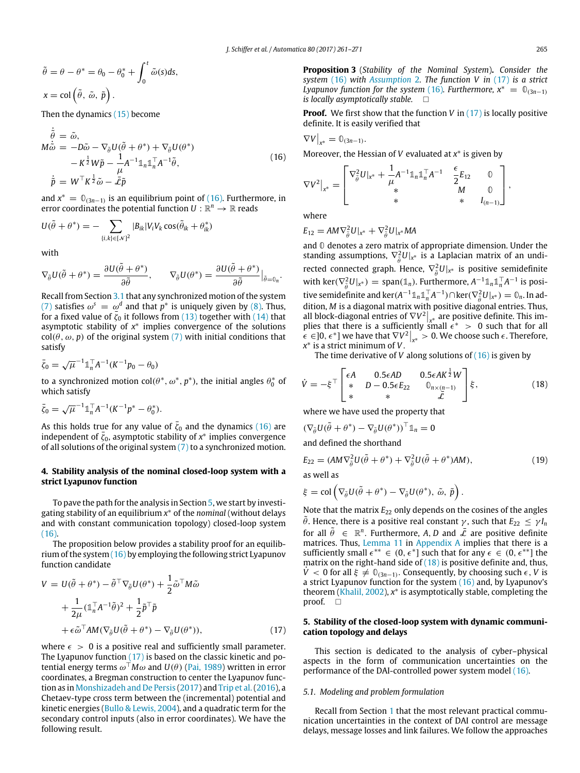$$
\tilde{\theta} = \theta - \theta^* = \theta_0 - \theta_0^* + \int_0^t \tilde{\omega}(s) ds,
$$
  

$$
x = \text{col}\left(\tilde{\theta}, \tilde{\omega}, \tilde{p}\right).
$$

Then the dynamics [\(15\)](#page-3-5) become

$$
\dot{\tilde{\theta}} = \tilde{\omega}, \nM\dot{\tilde{\omega}} = -D\tilde{\omega} - \nabla_{\tilde{\theta}}U(\tilde{\theta} + \theta^*) + \nabla_{\tilde{\theta}}U(\theta^*) \n- K^{\frac{1}{2}}W\tilde{p} - \frac{1}{\mu}A^{-1}\mathbb{1}_{n}\mathbb{1}_{n}^{\top}A^{-1}\tilde{\theta}, \n\dot{\tilde{p}} = W^{\top}K^{\frac{1}{2}}\tilde{\omega} - \tilde{\mathcal{L}}\tilde{p}
$$
\n(16)

and  $x^* = \mathbb{O}_{(3n-1)}$  is an equilibrium point of [\(16\).](#page-4-2) Furthermore, in error coordinates the potential function  $U: \mathbb{R}^n \to \mathbb{R}$  reads

$$
U(\tilde{\theta} + \theta^*) = -\sum_{\{i,k\} \in [N]^2} |B_{ik}| V_i V_k \cos(\tilde{\theta}_{ik} + \theta^*_{ik})
$$

with

$$
\nabla_{\tilde{\theta}} U(\tilde{\theta} + \theta^*) = \frac{\partial U(\tilde{\theta} + \theta^*)}{\partial \tilde{\theta}}, \qquad \nabla_{\tilde{\theta}} U(\theta^*) = \frac{\partial U(\tilde{\theta} + \theta^*)}{\partial \tilde{\theta}} \Big|_{\tilde{\theta} = 0_n}.
$$

Recall from Section [3.1](#page-2-7) that any synchronized motion of the system [\(7\)](#page-3-0) satisfies  $\omega^s = \omega^d$  and that  $p^*$  is uniquely given by [\(8\).](#page-3-6) Thus, for a fixed value of  $\bar{\zeta}_0$  it follows from [\(13\)](#page-3-7) together with [\(14\)](#page-3-3) that asymptotic stability of *x* ∗ implies convergence of the solutions  $col(\theta, \omega, p)$  of the original system [\(7\)](#page-3-0) with initial conditions that satisfy

$$
\bar{\zeta}_0 = \sqrt{\mu}^{-1} \mathbb{1}_n^{\top} A^{-1} (K^{-1} p_0 - \theta_0)
$$

to a synchronized motion  $col(\theta^*, \omega^*, p^*)$ , the initial angles  $\theta_0^*$  of which satisfy

$$
\bar{\zeta}_0 = \sqrt{\mu}^{-1} \mathbb{1}_n^{\top} A^{-1} (K^{-1} p^* - \theta_0^*).
$$

As this holds true for any value of  $\bar{\zeta}_0$  and the dynamics [\(16\)](#page-4-2) are independent of  $\bar{\zeta}_0$ , asymptotic stability of  $x^*$  implies convergence of all solutions of the original system  $(7)$  to a synchronized motion.

## <span id="page-4-0"></span>**4. Stability analysis of the nominal closed-loop system with a strict Lyapunov function**

To pave the path for the analysis in Section [5,](#page-4-1) we start by investigating stability of an equilibrium *x* <sup>∗</sup> of the *nominal* (without delays and with constant communication topology) closed-loop system  $(16)$ .

The proposition below provides a stability proof for an equilibrium of the system [\(16\)](#page-4-2) by employing the following strict Lyapunov function candidate

$$
V = U(\tilde{\theta} + \theta^*) - \tilde{\theta}^\top \nabla_{\tilde{\theta}} U(\theta^*) + \frac{1}{2} \tilde{\omega}^\top M \tilde{\omega}
$$
  
+ 
$$
\frac{1}{2\mu} (\mathbb{1}_n^\top A^{-1} \tilde{\theta})^2 + \frac{1}{2} \tilde{p}^\top \tilde{p}
$$
  
+ 
$$
\epsilon \tilde{\omega}^\top A M (\nabla_{\tilde{\theta}} U(\tilde{\theta} + \theta^*) - \nabla_{\tilde{\theta}} U(\theta^*)),
$$
 (17)

where  $\epsilon > 0$  is a positive real and sufficiently small parameter. The Lyapunov function [\(17\)](#page-4-3) is based on the classic kinetic and potential energy terms  $\omega^{\top}M\omega$  and  $U(\theta)$  [\(Pai,](#page-9-25) [1989\)](#page-9-25) written in error coordinates, a Bregman construction to center the Lyapunov function as in [Monshizadeh](#page-9-6) [and](#page-9-6) [De](#page-9-6) [Persis](#page-9-6) [\(2017\)](#page-9-6) and [Trip](#page-10-5) [et al.\(2016\)](#page-10-5), a Chetaev-type cross term between the (incremental) potential and kinetic energies [\(Bullo](#page-9-26) [&](#page-9-26) [Lewis,](#page-9-26) [2004\)](#page-9-26), and a quadratic term for the secondary control inputs (also in error coordinates). We have the following result.

<span id="page-4-5"></span>**Proposition 3** (*Stability of the Nominal System*)**.** *Consider the system* [\(16\)](#page-4-2) *with [Assumption](#page-3-8)* 2*. The function V in* [\(17\)](#page-4-3) *is a strict Lyapunov function for the system* [\(16\)](#page-4-2)*. Furthermore,*  $x^* = \mathbb{O}_{(3n-1)}$ *is locally asymptotically stable.*

**Proof.** We first show that the function *V* in [\(17\)](#page-4-3) is locally positive definite. It is easily verified that

<span id="page-4-2"></span>
$$
\nabla V\big|_{x^*}=\mathbb{0}_{(3n-1)}.
$$

Moreover, the Hessian of *V* evaluated at *x* ∗ is given by

$$
\nabla V^2\big|_{x^*} = \begin{bmatrix} \nabla_{\tilde{\theta}}^2 U\big|_{x^*} + \frac{1}{\mu} A^{-1} \mathbb{1}_n \mathbb{1}_n^\top A^{-1} & \frac{\epsilon}{2} E_{12} & 0 \\ \n& * & M & 0 \\ \n& * & * & I_{(n-1)} \n\end{bmatrix},
$$

where

$$
E_{12} = AM\nabla_{\tilde{\theta}}^2 U|_{x^*} + \nabla_{\tilde{\theta}}^2 U|_{x^*} MA
$$

and **0** denotes a zero matrix of appropriate dimension. Under the standing assumptions,  $\nabla_{\hat{\theta}}^2 U|_{x^*}$  is a Laplacian matrix of an undirected connected graph. Hence,  $\nabla_{\hat{\theta}}^2 U|_{x^*}$  is positive semidefinite with ker( $\nabla_{\bar{\theta}}^2 U|_{x^*}$ ) = span( $\mathbb{1}_n$ ). Furthermore,  $A^{-1} \mathbb{1}_n \mathbb{1}_n^\top A^{-1}$  is positive semidefinite and  $\ker(A^{-1} \mathbb{1}_n \mathbb{1}_n^\top A^{-1}) \cap \ker(\nabla_{\tilde{\theta}}^2 U|_{X^*}) = \mathbb{0}_n$ . In addition, *M* is a diagonal matrix with positive diagonal entries. Thus, all block-diagonal entries of  $\nabla V^2|_{\mathbf{x}^*}$  are positive definite. This implies that there is a sufficiently small  $\epsilon^* > 0$  such that for all  $\hat{\epsilon}$  ∈ [0,  $\epsilon^*$ ] we have that  $\nabla V^2|_{x^*} > 0$ . We choose such  $\epsilon$ . Therefore, *x* ∗ is a strict minimum of *V*.

<span id="page-4-4"></span>The time derivative of *V* along solutions of [\(16\)](#page-4-2) is given by

$$
\dot{V} = -\xi^{\top} \begin{bmatrix} \epsilon A & 0.5\epsilon A D & 0.5\epsilon A K^{\frac{1}{2}} W \\ * & D - 0.5\epsilon E_{22} & 0_{n \times (n-1)} \\ * & * & \tilde{\mathcal{L}} \end{bmatrix} \xi, \qquad (18)
$$

where we have used the property that

$$
(\nabla_{\tilde{\theta}}U(\tilde{\theta} + \theta^*) - \nabla_{\tilde{\theta}}U(\theta^*))^{\top} \mathbb{1}_n = 0
$$

and defined the shorthand

<span id="page-4-6"></span>
$$
E_{22} = (AM\nabla_{\tilde{\theta}}^2 U(\tilde{\theta} + \theta^*) + \nabla_{\tilde{\theta}}^2 U(\tilde{\theta} + \theta^*)AM), \tag{19}
$$

as well as

$$
\xi = \text{col}\left(\nabla_{\tilde{\theta}}U(\tilde{\theta} + \theta^*) - \nabla_{\tilde{\theta}}U(\theta^*), \tilde{\omega}, \tilde{p}\right).
$$

Note that the matrix  $E_{22}$  only depends on the cosines of the angles  $\hat{\theta}$ . Hence, there is a positive real constant  $\gamma$ , such that  $E_{22} \leq \gamma I_n$ for all  $\tilde{\theta} \in \mathbb{R}^n$ . Furthermore, A, D and  $\overline{\tilde{\mathcal{L}}}$  are positive definite matrices. Thus, [Lemma 11](#page-8-0) in [Appendix A](#page-8-1) implies that there is a sufficiently small  $\epsilon^{**} \in (0, \epsilon^*]$  such that for any  $\epsilon \in (0, \epsilon^{**}]$  the matrix on the right-hand side of  $(18)$  is positive definite and, thus,  $V$  < 0 for all  $\xi \neq 0_{(3n-1)}$ . Consequently, by choosing such  $\epsilon$ , *V* is a strict Lyapunov function for the system [\(16\)](#page-4-2) and, by Lyapunov's theorem [\(Khalil,](#page-9-27) [2002\)](#page-9-27), *x* ∗ is asymptotically stable, completing the proof.  $\square$ 

## <span id="page-4-3"></span><span id="page-4-1"></span>**5. Stability of the closed-loop system with dynamic communication topology and delays**

This section is dedicated to the analysis of cyber–physical aspects in the form of communication uncertainties on the performance of the DAI-controlled power system model [\(16\).](#page-4-2)

#### *5.1. Modeling and problem formulation*

Recall from Section [1](#page-0-5) that the most relevant practical communication uncertainties in the context of DAI control are message delays, message losses and link failures. We follow the approaches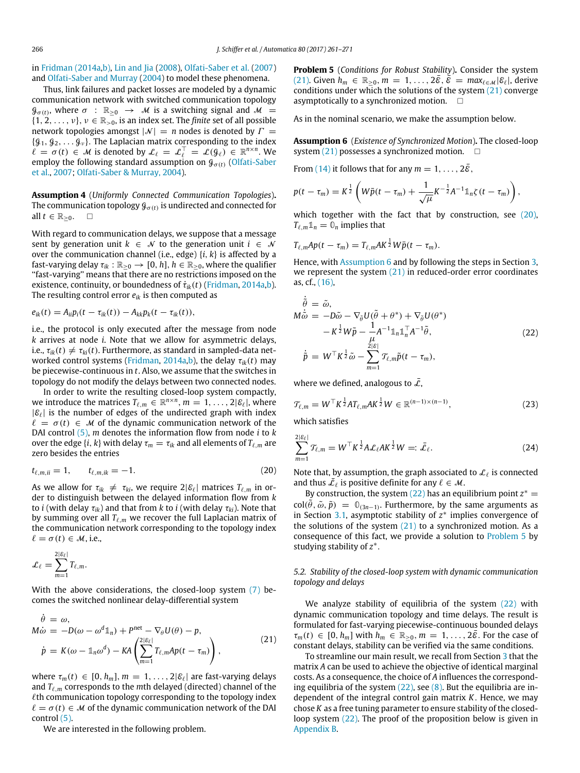in [Fridman](#page-9-15) [\(2014a,](#page-9-15)[b\),](#page-9-16) [Lin](#page-9-18) [and](#page-9-18) [Jia](#page-9-18) [\(2008\)](#page-9-18), [Olfati-Saber](#page-9-2) [et al.](#page-9-2) [\(2007\)](#page-9-2) and [Olfati-Saber](#page-9-19) [and](#page-9-19) [Murray](#page-9-19) [\(2004\)](#page-9-19) to model these phenomena.

Thus, link failures and packet losses are modeled by a dynamic communication network with switched communication topology  $\mathcal{G}_{\sigma(t)}$ , where  $\sigma$  :  $\mathbb{R}_{\geq 0} \rightarrow M$  is a switching signal and  $\mathcal{M} =$  $\{1, 2, \ldots, \nu\}, \nu \in \mathbb{R}_{>0}$ , is an index set. The *finite* set of all possible network topologies amongst  $|N| = n$  nodes is denoted by  $\Gamma =$  $\{g_1, g_2, \ldots g_\nu\}$ . The Laplacian matrix corresponding to the index  $\ell = \sigma(t) \in \mathcal{M}$  is denoted by  $\mathcal{L}_{\ell} = \mathcal{L}_{\ell}^{\top} = \mathcal{L}(\mathcal{G}_{\ell}) \in \mathbb{R}^{n \times n}$ . We employ the following standard assumption on  $\mathcal{G}_{\sigma(t)}$  [\(Olfati-Saber](#page-9-2) [et al.,](#page-9-2) [2007;](#page-9-2) [Olfati-Saber](#page-9-19) [&](#page-9-19) [Murray,](#page-9-19) [2004\)](#page-9-19).

<span id="page-5-5"></span>**Assumption 4** (*Uniformly Connected Communication Topologies*)**.** The communication topology  ${\mathcal{G}}_{\sigma(t)}$  is undirected and connected for all  $t \in \mathbb{R}_{>0}$ .

With regard to communication delays, we suppose that a message sent by generation unit  $k \in \mathcal{N}$  to the generation unit  $i \in \mathcal{N}$ over the communication channel (i.e., edge) {*i*, *k*} is affected by a fast-varying delay  $\tau_{ik} : \mathbb{R}_{\geq 0} \to [0, h], h \in \mathbb{R}_{\geq 0}$ , where the qualifier ''fast-varying'' means that there are no restrictions imposed on the existence, continuity, or boundedness of  $\dot{\tau}_{ik}(t)$  [\(Fridman,](#page-9-15) [2014a,b\)](#page-9-15). The resulting control error  $e_{ik}$  is then computed as

$$
e_{ik}(t) = A_{ii}p_i(t - \tau_{ik}(t)) - A_{kk}p_k(t - \tau_{ik}(t)),
$$

i.e., the protocol is only executed after the message from node *k* arrives at node *i*. Note that we allow for asymmetric delays, i.e.,  $\tau_{ik}(t) \neq \tau_{ki}(t)$ . Furthermore, as standard in sampled-data networked control systems [\(Fridman,](#page-9-15) [2014a,b\)](#page-9-15), the delay τ*ik*(*t*) may be piecewise-continuous in *t*. Also, we assume that the switches in topology do not modify the delays between two connected nodes.

In order to write the resulting closed-loop system compactly, we introduce the matrices  $T_{\ell,m}\in\mathbb{R}^{n\times n}$ ,  $m=1,\ldots,2|\mathcal{E}_\ell|$ , where  $|\mathcal{E}_{\ell}|$  is the number of edges of the undirected graph with index  $\ell = \sigma(t) \in \mathcal{M}$  of the dynamic communication network of the DAI control [\(5\),](#page-2-5) *m* denotes the information flow from node *i* to *k* over the edge  $\{i, k\}$  with delay  $\tau_m = \tau_{ik}$  and all elements of  $T_{\ell,m}$  are zero besides the entries

$$
t_{\ell,m,ii} = 1, \t t_{\ell,m,ik} = -1.
$$
\t(20)

As we allow for  $\tau_{ik} \neq \tau_{ki}$ , we require  $2|\mathcal{E}_{\ell}|$  matrices  $T_{\ell,m}$  in order to distinguish between the delayed information flow from *k* to *i* (with delay  $\tau_{ik}$ ) and that from *k* to *i* (with delay  $\tau_{ki}$ ). Note that by summing over all  $T_{\ell,m}$  we recover the full Laplacian matrix of the communication network corresponding to the topology index  $\ell = \sigma(t) \in \mathcal{M}$ , i.e.,

$$
\mathcal{L}_{\ell} = \sum_{m=1}^{2|\mathcal{E}_{\ell}|} T_{\ell,m}.
$$

With the above considerations, the closed-loop system [\(7\)](#page-3-0) becomes the switched nonlinear delay-differential system

$$
\dot{\theta} = \omega,
$$
  
\n
$$
M\dot{\omega} = -D(\omega - \omega^d \mathbb{1}_n) + P^{net} - \nabla_{\theta} U(\theta) - p,
$$
  
\n
$$
\dot{p} = K(\omega - \mathbb{1}_n \omega^d) - K A \left( \sum_{m=1}^{2|\mathcal{E}_{\ell}|} T_{\ell,m} Ap(t - \tau_m) \right),
$$
\n(21)

where  $\tau_m(t) \in [0, h_m]$ ,  $m = 1, \ldots, 2|\mathcal{E}_{\ell}|$  are fast-varying delays and *T*ℓ,*<sup>m</sup>* corresponds to the *m*th delayed (directed) channel of the  $\ell$ th communication topology corresponding to the topology index  $\ell = \sigma(t) \in \mathcal{M}$  of the dynamic communication network of the DAI control [\(5\).](#page-2-5)

We are interested in the following problem.

<span id="page-5-4"></span>**Problem 5** (*Conditions for Robust Stability*)**.** Consider the system [\(21\).](#page-5-0) Given  $h_m \in \mathbb{R}_{>0}$ ,  $m = 1, \ldots, 2\bar{\varepsilon}, \bar{\varepsilon} = \max_{\ell \in \mathcal{M}} |\varepsilon_\ell|$ , derive conditions under which the solutions of the system [\(21\)](#page-5-0) converge asymptotically to a synchronized motion.  $\square$ 

As in the nominal scenario, we make the assumption below.

<span id="page-5-2"></span>**Assumption 6** (*Existence of Synchronized Motion*)**.** The closed-loop system  $(21)$  possesses a synchronized motion.  $\Box$ 

From [\(14\)](#page-3-3) it follows that for any  $m = 1, \ldots, 2\overline{6}$ ,

$$
p(t-\tau_m) = K^{\frac{1}{2}} \left( W \bar{p}(t-\tau_m) + \frac{1}{\sqrt{\mu}} K^{-\frac{1}{2}} A^{-1} \mathbb{1}_n \zeta(t-\tau_m) \right),
$$

which together with the fact that by construction, see [\(20\),](#page-5-1)  $T_{\ell,m} \mathbb{1}_n = \mathbb{0}_n$  implies that

$$
T_{\ell,m}Ap(t-\tau_m)=T_{\ell,m}AK^{\frac{1}{2}}W\bar{p}(t-\tau_m).
$$

Hence, with [Assumption 6](#page-5-2) and by following the steps in Section [3,](#page-2-0) we represent the system  $(21)$  in reduced-order error coordinates as, cf., [\(16\),](#page-4-2)

<span id="page-5-3"></span>
$$
\dot{\tilde{\theta}} = \tilde{\omega}, \nM\dot{\tilde{\omega}} = -D\tilde{\omega} - \nabla_{\tilde{\theta}}U(\tilde{\theta} + \theta^*) + \nabla_{\tilde{\theta}}U(\theta^*) \n- K^{\frac{1}{2}}W\tilde{p} - \frac{1}{\mu}A^{-1}\mathbb{1}_{n}\mathbb{1}_{n}^{\top}A^{-1}\tilde{\theta}, \n\dot{\tilde{p}} = W^{\top}K^{\frac{1}{2}}\tilde{\omega} - \sum_{m=1}^{2|\mathcal{E}|}\mathcal{T}_{\ell,m}\tilde{p}(t - \tau_{m}),
$$
\n(22)

<span id="page-5-6"></span>where we defined, analogous to  $\bar{\mathcal{L}}$ ,

$$
\mathcal{T}_{\ell,m} = W^{\top} K^{\frac{1}{2}} A T_{\ell,m} A K^{\frac{1}{2}} W \in \mathbb{R}^{(n-1)\times(n-1)},\tag{23}
$$

which satisfies

<span id="page-5-7"></span>
$$
\sum_{m=1}^{2|\mathcal{E}_{\ell}|} \mathcal{T}_{\ell,m} = W^{\top} K^{\frac{1}{2}} A \mathcal{L}_{\ell} A K^{\frac{1}{2}} W =: \bar{\mathcal{L}}_{\ell}.
$$
 (24)

<span id="page-5-1"></span>Note that, by assumption, the graph associated to  $\mathcal{L}_{\ell}$  is connected and thus  $\bar{\mathcal{L}}_{\ell}$  is positive definite for any  $\ell \in \mathcal{M}$ .

By construction, the system  $(22)$  has an equilibrium point  $z^* =$  $col(\tilde{\theta}, \tilde{\omega}, \tilde{p}) = \mathbb{0}_{(3n-1)}$ . Furthermore, by the same arguments as in Section [3.1,](#page-2-7) asymptotic stability of  $z^*$  implies convergence of the solutions of the system  $(21)$  to a synchronized motion. As a consequence of this fact, we provide a solution to [Problem 5](#page-5-4) by studying stability of *z* ∗ .

## *5.2. Stability of the closed-loop system with dynamic communication topology and delays*

<span id="page-5-0"></span>We analyze stability of equilibria of the system  $(22)$  with dynamic communication topology and time delays. The result is formulated for fast-varying piecewise-continuous bounded delays  $\tau_m(t) \in [0, h_m]$  with  $h_m \in \mathbb{R}_{>0}, m = 1, \ldots, 2\bar{\varepsilon}$ . For the case of constant delays, stability can be verified via the same conditions.

To streamline our main result, we recall from Section [3](#page-2-0) that the matrix *A* can be used to achieve the objective of identical marginal costs. As a consequence, the choice of *A* influences the corresponding equilibria of the system  $(22)$ , see  $(8)$ . But the equilibria are independent of the integral control gain matrix *K*. Hence, we may chose *K* as a free tuning parameter to ensure stability of the closedloop system  $(22)$ . The proof of the proposition below is given in [Appendix B.](#page-8-2)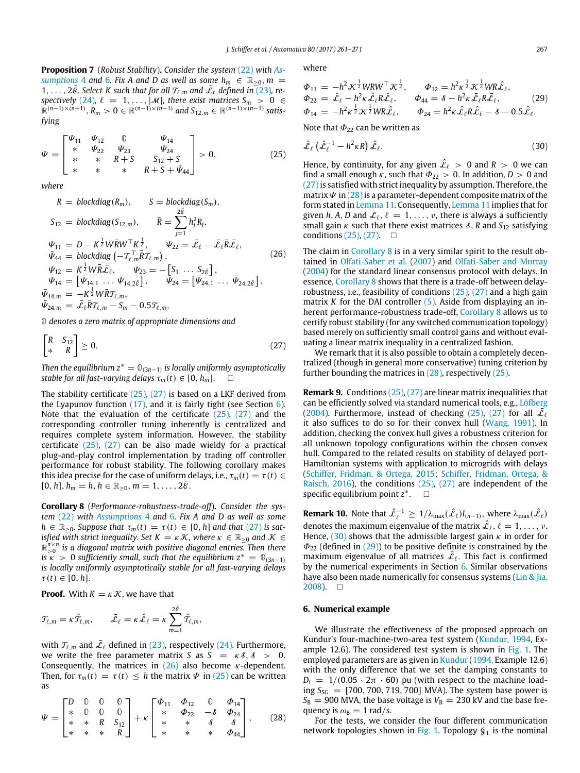<span id="page-6-9"></span>**[P](#page-5-5)roposition 7** (*Robust Stability*)**.** *Consider the system* [\(22\)](#page-5-3) *with [As](#page-5-5)[sumptions](#page-5-5)* 4 and [6](#page-5-2). Fix A and D as well as some  $h_m \in \mathbb{R}_{\geq 0}$ ,  $m =$ 1, ...,  $2\bar{\varepsilon}$ . Select K such that for all  $\mathcal{T}_{\ell,m}$  and  $\bar{\mathcal{L}}_{\ell}$  defined in [\(23\)](#page-5-6), re-spectively [\(24\)](#page-5-7),  $\ell = 1, ..., |\mathcal{M}|$ , there exist matrices  $S_m > 0 \in \mathbb{R}^{(n-1)\times(n-1)}$ ,  $R_m > 0 \in \mathbb{R}^{(n-1)\times(n-1)}$  and  $S_{12,m} \in \mathbb{R}^{(n-1)\times(n-1)}$  satis*fying*

$$
\Psi = \begin{bmatrix} \Psi_{11} & \Psi_{12} & 0 & \Psi_{14} \\ * & \Psi_{22} & \Psi_{23} & \Psi_{24} \\ * & * & * & * & S_{12} + S \\ * & * & * & * & * & K + S + \bar{\Psi}_{44} \end{bmatrix} > 0, \tag{25}
$$

*where*

 $\mathbf{u}$ 

$$
R = \text{blockdiag}(R_m), \qquad S = \text{blockdiag}(S_m),
$$
\n
$$
S_{12} = \text{blockdiag}(S_{12,m}), \qquad \bar{R} = \sum_{j=1}^{2\bar{\varepsilon}} h_j^2 R_j,
$$
\n
$$
\Psi_{11} = D - K^{\frac{1}{2}} W \bar{R} W^{\top} K^{\frac{1}{2}}, \qquad \Psi_{22} = \bar{\mathcal{L}}_{\ell} - \bar{\mathcal{L}}_{\ell} \bar{R} \bar{\mathcal{L}}_{\ell},
$$
\n
$$
\bar{\Psi}_{44} = \text{blockdiag}(-\mathcal{T}_{\ell,m}^{\top} \bar{R} \mathcal{T}_{\ell,m}),
$$
\n
$$
\Psi_{12} = K^{\frac{1}{2}} W \bar{R} \bar{\mathcal{L}}_{\ell}, \qquad \Psi_{23} = -[S_1 \dots S_{2\bar{\varepsilon}}],
$$
\n
$$
\Psi_{14} = [\bar{\Psi}_{14,1} \dots \bar{\Psi}_{14,2\bar{\varepsilon}}], \qquad \bar{\Psi}_{24} = [\bar{\Psi}_{24,1} \dots \bar{\Psi}_{24,2\bar{\varepsilon}}],
$$
\n
$$
\bar{\Psi}_{14,m} = -K^{\frac{1}{2}} W \bar{R} \mathcal{T}_{\ell,m},
$$
\n
$$
\bar{\Psi}_{24,m} = \bar{\mathcal{L}}_{\ell} \bar{R} \mathcal{T}_{\ell,m} - S_m - 0.5 \mathcal{T}_{\ell,m},
$$
\n(26)

**0** *denotes a zero matrix of appropriate dimensions and*

$$
\begin{bmatrix} R & S_{12} \\ * & R \end{bmatrix} \ge 0. \tag{27}
$$

*Then the equilibrium*  $z^* = \mathbb{O}_{(3n-1)}$  *is locally uniformly asymptotically stable for all fast-varying delays*  $\tau_m(t) \in [0, h_m]$ .

The stability certificate [\(25\),](#page-6-1) [\(27\)](#page-6-2) is based on a LKF derived from the Lyapunov function  $(17)$ , and it is fairly tight (see Section [6\)](#page-6-0). Note that the evaluation of the certificate [\(25\),](#page-6-1) [\(27\)](#page-6-2) and the corresponding controller tuning inherently is centralized and requires complete system information. However, the stability certificate [\(25\),](#page-6-1) [\(27\)](#page-6-2) can be also made wieldy for a practical plug-and-play control implementation by trading off controller performance for robust stability. The following corollary makes this idea precise for the case of uniform delays, i.e.,  $\tau_m(t) = \tau(t) \in$  $[0, h], h_m = h, h \in \mathbb{R}_{>0}, m = 1, \ldots, 2\bar{\mathcal{E}}.$ 

<span id="page-6-5"></span>**Corollary 8** (*Performance-robustness-trade-off*)**.** *Consider the system* [\(22\)](#page-5-3) *with [Assumptions](#page-5-5)* 4 and [6](#page-5-2)*. Fix A and D as well as some*  $h \in \mathbb{R}_{\geq 0}$ . Suppose that  $\tau_m(t) = \tau(t) \in [0, h]$  and that  $(27)$  is sat*isfied with strict inequality. Set K* =  $\kappa$  *K*, where  $\kappa \in \mathbb{R}_{\geq 0}$  and  $\mathcal{K} \in$  $\mathbb{R}_{>0}^{n \times n}$  is a diagonal matrix with positive diagonal entries. Then there *is*  $\kappa > 0$  *sufficiently small, such that the equilibrium*  $z^* = \mathbb{O}_{(3n-1)}$ *is locally uniformly asymptotically stable for all fast-varying delays*  $\tau(t) \in [0, h].$ 

**Proof.** With  $K = \kappa \mathcal{K}$ , we have that

$$
\mathcal{T}_{\ell,m} = \kappa \hat{\mathcal{T}}_{\ell,m}, \qquad \bar{\mathcal{L}}_{\ell} = \kappa \hat{\mathcal{L}}_{\ell} = \kappa \sum_{m=1}^{2\bar{\varepsilon}} \hat{\mathcal{T}}_{\ell,m},
$$

with  $\mathcal{T}_{\ell,m}$  and  $\bar{\mathcal{L}}_{\ell}$  defined in [\(23\),](#page-5-6) respectively [\(24\).](#page-5-7) Furthermore, we write the free parameter matrix *S* as  $S = \kappa \delta$ ,  $\delta > 0$ . Consequently, the matrices in  $(26)$  also become  $\kappa$ -dependent. Then, for  $\tau_m(t) = \tau(t) \leq h$  the matrix  $\Psi$  in [\(25\)](#page-6-1) can be written as

$$
\Psi = \begin{bmatrix} D & 0 & 0 & 0 \\ * & 0 & 0 & 0 \\ * & * & R & S_{12} \\ * & * & * & R \end{bmatrix} + \kappa \begin{bmatrix} \Phi_{11} & \Phi_{12} & 0 & \Phi_{14} \\ * & \Phi_{22} & -3 & \Phi_{24} \\ * & * & * & 3 & 3 \\ * & * & * & \Phi_{44} \end{bmatrix}, \quad (28)
$$

where

<span id="page-6-7"></span>
$$
\begin{array}{ll}\n\Phi_{11} = -h^2 \mathcal{K}^{\frac{1}{2}} W R W^{\top} \mathcal{K}^{\frac{1}{2}}, & \Phi_{12} = h^2 \kappa^{\frac{1}{2}} \mathcal{K}^{\frac{1}{2}} W R \hat{\mathcal{L}}_{\ell}, \\
\Phi_{22} = \hat{\mathcal{L}}_{\ell} - h^2 \kappa \hat{\mathcal{L}}_{\ell} R \hat{\mathcal{L}}_{\ell}, & \Phi_{44} = \delta - h^2 \kappa \bar{\mathcal{L}}_{\ell} R \bar{\mathcal{L}}_{\ell}, \\
\Phi_{14} = -h^2 \kappa^{\frac{1}{2}} \mathcal{K}^{\frac{1}{2}} W R \hat{\mathcal{L}}_{\ell}, & \Phi_{24} = h^2 \kappa \hat{\mathcal{L}}_{\ell} R \hat{\mathcal{L}}_{\ell} - \delta - 0.5 \hat{\mathcal{L}}_{\ell}.\n\end{array} \tag{29}
$$

<span id="page-6-1"></span>Note that  $\Phi_{22}$  can be written as

<span id="page-6-6"></span>
$$
\hat{\mathcal{L}}_{\ell}\left(\hat{\mathcal{L}}_{\ell}^{-1} - h^2 \kappa R\right) \hat{\mathcal{L}}_{\ell}.\tag{30}
$$

<span id="page-6-3"></span>Hence, by continuity, for any given  $\hat{\mathcal{L}}_{\ell} > 0$  and  $R > 0$  we can find a small enough  $\kappa$ , such that  $\Phi_{22} > 0$ . In addition,  $D > 0$  and [\(27\)](#page-6-2) is satisfied with strict inequality by assumption. Therefore, the matrix  $\Psi$  in (28) is a parameter-dependent composite matrix of the form stated in [Lemma 11.](#page-8-0) Consequently, [Lemma 11](#page-8-0) implies that for given *h*, *A*, *D* and  $\mathcal{L}_{\ell}$ ,  $\ell = 1, \ldots, \nu$ , there is always a sufficiently small gain  $\kappa$  such that there exist matrices  $\delta$ , *R* and  $S_{12}$  satisfying conditions  $(25)$ ,  $(27)$ .  $\Box$ 

The claim in [Corollary 8](#page-6-5) is in a very similar spirit to the result obtained in [Olfati-Saber](#page-9-2) [et al.](#page-9-2) [\(2007\)](#page-9-2) and [Olfati-Saber](#page-9-19) [and](#page-9-19) [Murray](#page-9-19) [\(2004\)](#page-9-19) for the standard linear consensus protocol with delays. In essence, [Corollary 8](#page-6-5) shows that there is a trade-off between delayrobustness, i.e., feasibility of conditions [\(25\),](#page-6-1) [\(27\)](#page-6-2) and a high gain matrix *K* for the DAI controller [\(5\).](#page-2-5) Aside from displaying an inherent performance-robustness trade-off, [Corollary 8](#page-6-5) allows us to certify robust stability (for any switched communication topology) based merely on sufficiently small control gains and without evaluating a linear matrix inequality in a centralized fashion.

<span id="page-6-2"></span>We remark that it is also possible to obtain a completely decentralized (though in general more conservative) tuning criterion by further bounding the matrices in [\(28\),](#page-6-4) respectively [\(25\).](#page-6-1)

**Remark 9.** Conditions [\(25\),](#page-6-1) [\(27\)](#page-6-2) are linear matrix inequalities that can be efficiently solved via standard numerical tools, e.g., [Löfberg](#page-9-28) [\(2004\)](#page-9-28). Furthermore, instead of checking [\(25\),](#page-6-1) [\(27\)](#page-6-2) for all  $\overline{\mathcal{L}}_{\ell}$ it also suffices to do so for their convex hull [\(Wang,](#page-10-18) [1991\)](#page-10-18). In addition, checking the convex hull gives a robustness criterion for all unknown topology configurations within the chosen convex hull. Compared to the related results on stability of delayed port-Hamiltonian systems with application to microgrids with delays [\(Schiffer,](#page-10-19) [Fridman,](#page-10-19) [&](#page-10-19) [Ortega,](#page-10-19) [2015;](#page-10-19) [Schiffer,](#page-10-20) [Fridman,](#page-10-20) [Ortega,](#page-10-20) [&](#page-10-20) [Raisch,](#page-10-20) [2016\)](#page-10-20), the conditions [\(25\),](#page-6-1) [\(27\)](#page-6-2) are independent of the specific equilibrium point *z* ∗  $\Box$ 

<span id="page-6-8"></span>**Remark 10.** Note that  $\hat{\mathcal{L}}_{\ell}^{-1} \geq 1/\lambda_{\max}(\hat{\mathcal{L}}_{\ell})I_{(n-1)}$ , where  $\lambda_{\max}(\hat{\mathcal{L}}_{\ell})$ denotes the maximum eigenvalue of the matrix  $\hat{\mathcal{L}}_{\ell}, \ell = 1, \ldots, \nu$ . Hence, [\(30\)](#page-6-6) shows that the admissible largest gain  $\kappa$  in order for  $\Phi_{22}$  (defined in [\(29\)\)](#page-6-7) to be positive definite is constrained by the maximum eigenvalue of all matrices  $\hat{\mathcal{L}}_{\ell}$ . This fact is confirmed by the numerical experiments in Section [6.](#page-6-0) Similar observations have also been made numerically for consensus systems [\(Lin](#page-9-18) [&](#page-9-18) [Jia,](#page-9-18)  $2008$ ).  $\square$ 

## <span id="page-6-0"></span>**6. Numerical example**

We illustrate the effectiveness of the proposed approach on Kundur's four-machine-two-area test system [\(Kundur,](#page-9-4) [1994,](#page-9-4) Example 12.6). The considered test system is shown in [Fig. 1.](#page-7-1) The employed parameters are as given in [Kundur](#page-9-4) [\(1994,](#page-9-4) Example 12.6) with the only difference that we set the damping constants to  $D_i = 1/(0.05 \cdot 2\pi \cdot 60)$  pu (with respect to the machine loading  $S_{SG}$  = [700, 700, 719, 700] MVA). The system base power is  $S_B = 900$  MVA, the base voltage is  $V_B = 230$  kV and the base frequency is  $\omega_B = 1$  rad/s.

<span id="page-6-4"></span>For the tests, we consider the four different communication network topologies shown in [Fig. 1.](#page-7-1) Topology  $\mathcal{G}_1$  is the nominal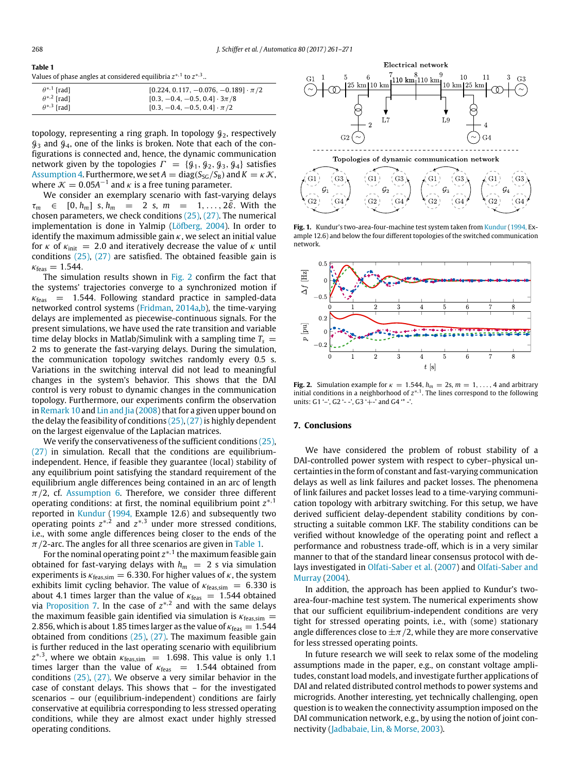<span id="page-7-3"></span>**Table 1**

| Values of phase angles at considered equilibria $z^{*,1}$ to $z^{*,3}$ . |  |
|--------------------------------------------------------------------------|--|
|--------------------------------------------------------------------------|--|

| $\theta^{*,1}$ [rad] | $[0.224, 0.117, -0.076, -0.189] \cdot \pi/2$ |
|----------------------|----------------------------------------------|
| $\theta^{*,2}$ [rad] | $[0.3, -0.4, -0.5, 0.4] \cdot 3\pi/8$        |
| $\theta^{*,3}$ [rad] | $[0.3, -0.4, -0.5, 0.4] \cdot \pi/2$         |

topology, representing a ring graph. In topology  $\mathcal{G}_2$ , respectively  $\mathcal{G}_3$  and  $\mathcal{G}_4$ , one of the links is broken. Note that each of the configurations is connected and, hence, the dynamic communication network given by the topologies  $\Gamma = \{\mathcal{G}_1, \mathcal{G}_2, \mathcal{G}_3, \mathcal{G}_4\}$  satisfies [Assumption 4.](#page-5-5) Furthermore, we set  $A = diag(S_{SG}/S_B)$  and  $K = \kappa \mathcal{K}$ , where  $K = 0.05A^{-1}$  and  $\kappa$  is a free tuning parameter.

We consider an exemplary scenario with fast-varying delays  $\tau_m \in [0, h_m]$  s,  $h_m = 2$  s,  $m = 1, \ldots, 2\bar{\mathcal{E}}$ . With the chosen parameters, we check conditions [\(25\),](#page-6-1) [\(27\).](#page-6-2) The numerical implementation is done in Yalmip [\(Löfberg,](#page-9-28) [2004\)](#page-9-28). In order to identify the maximum admissible gain  $\kappa$ , we select an initial value for  $\kappa$  of  $\kappa_{init}$  = 2.0 and iteratively decrease the value of  $\kappa$  until conditions [\(25\),](#page-6-1) [\(27\)](#page-6-2) are satisfied. The obtained feasible gain is  $\kappa_{\text{feas}} = 1.544.$ 

The simulation results shown in [Fig. 2](#page-7-2) confirm the fact that the systems' trajectories converge to a synchronized motion if  $\kappa_{\text{feas}}$  = 1.544. Following standard practice in sampled-data networked control systems [\(Fridman,](#page-9-15) [2014a,b\)](#page-9-15), the time-varying delays are implemented as piecewise-continuous signals. For the present simulations, we have used the rate transition and variable time delay blocks in Matlab/Simulink with a sampling time  $T_s$  = 2 ms to generate the fast-varying delays. During the simulation, the communication topology switches randomly every 0.5 s. Variations in the switching interval did not lead to meaningful changes in the system's behavior. This shows that the DAI control is very robust to dynamic changes in the communication topology. Furthermore, our experiments confirm the observation in [Remark 10](#page-6-8) and [Lin](#page-9-18) [and](#page-9-18) [Jia](#page-9-18) [\(2008\)](#page-9-18) that for a given upper bound on the delay the feasibility of conditions  $(25)$ ,  $(27)$  is highly dependent on the largest eigenvalue of the Laplacian matrices.

We verify the conservativeness of the sufficient conditions [\(25\),](#page-6-1) [\(27\)](#page-6-2) in simulation. Recall that the conditions are equilibriumindependent. Hence, if feasible they guarantee (local) stability of any equilibrium point satisfying the standard requirement of the equilibrium angle differences being contained in an arc of length  $\pi/2$ , cf. [Assumption 6.](#page-5-2) Therefore, we consider three different operating conditions: at first, the nominal equilibrium point *z* ∗,1 reported in [Kundur](#page-9-4) [\(1994,](#page-9-4) Example 12.6) and subsequently two operating points  $z^{*,2}$  and  $z^{*,3}$  under more stressed conditions, i.e., with some angle differences being closer to the ends of the  $\pi/2$ -arc. The angles for all three scenarios are given in [Table 1.](#page-7-3)

For the nominal operating point  $z^{*,1}$  the maximum feasible gain obtained for fast-varying delays with  $h_m = 2$  s via simulation experiments is  $\kappa_{\text{feas,sim}} = 6.330$ . For higher values of  $\kappa$ , the system exhibits limit cycling behavior. The value of  $\kappa_{\text{feas,sim}} = 6.330$  is about 4.1 times larger than the value of  $\kappa_{\text{feas}} = 1.544$  obtained via [Proposition 7.](#page-6-9) In the case of  $z^{*,2}$  and with the same delays the maximum feasible gain identified via simulation is  $\kappa_{\text{feas,sim}} =$ 2.856, which is about 1.85 times larger as the value of  $\kappa_{\text{feas}} = 1.544$ obtained from conditions [\(25\),](#page-6-1) [\(27\).](#page-6-2) The maximum feasible gain is further reduced in the last operating scenario with equilibrium  $z^{*,3}$ , where we obtain  $\kappa_{\text{feas,sim}} = 1.698$ . This value is only 1.1 times larger than the value of  $\kappa_{\text{feas}}$  = 1.544 obtained from conditions [\(25\),](#page-6-1) [\(27\).](#page-6-2) We observe a very similar behavior in the case of constant delays. This shows that – for the investigated scenarios – our (equilibrium-independent) conditions are fairly conservative at equilibria corresponding to less stressed operating conditions, while they are almost exact under highly stressed operating conditions.

<span id="page-7-1"></span>

**Fig. 1.** Kundur's two-area-four-machine test system taken from [Kundur](#page-9-4) [\(1994,](#page-9-4) Example 12.6) and below the four different topologies of the switched communication network.

<span id="page-7-2"></span>

**Fig. 2.** Simulation example for  $\kappa = 1.544$ ,  $h_m = 2s$ ,  $m = 1, \ldots, 4$  and arbitrary initial conditions in a neighborhood of  $z^{*,1}$ . The lines correspond to the following units:  $G1'$  -',  $G2'$  - -',  $G3'$  + -' and  $G4'$  \* -'.

#### <span id="page-7-0"></span>**7. Conclusions**

We have considered the problem of robust stability of a DAI-controlled power system with respect to cyber–physical uncertainties in the form of constant and fast-varying communication delays as well as link failures and packet losses. The phenomena of link failures and packet losses lead to a time-varying communication topology with arbitrary switching. For this setup, we have derived sufficient delay-dependent stability conditions by constructing a suitable common LKF. The stability conditions can be verified without knowledge of the operating point and reflect a performance and robustness trade-off, which is in a very similar manner to that of the standard linear consensus protocol with delays investigated in [Olfati-Saber](#page-9-2) [et al.](#page-9-2) [\(2007\)](#page-9-2) and [Olfati-Saber](#page-9-19) [and](#page-9-19) [Murray](#page-9-19) [\(2004\)](#page-9-19).

In addition, the approach has been applied to Kundur's twoarea-four-machine test system. The numerical experiments show that our sufficient equilibrium-independent conditions are very tight for stressed operating points, i.e., with (some) stationary angle differences close to  $\pm \pi/2$ , while they are more conservative for less stressed operating points.

In future research we will seek to relax some of the modeling assumptions made in the paper, e.g., on constant voltage amplitudes, constant load models, and investigate further applications of DAI and related distributed control methods to power systems and microgrids. Another interesting, yet technically challenging, open question is to weaken the connectivity assumption imposed on the DAI communication network, e.g., by using the notion of joint connectivity [\(Jadbabaie,](#page-9-29) [Lin,](#page-9-29) [&](#page-9-29) [Morse,](#page-9-29) [2003\)](#page-9-29).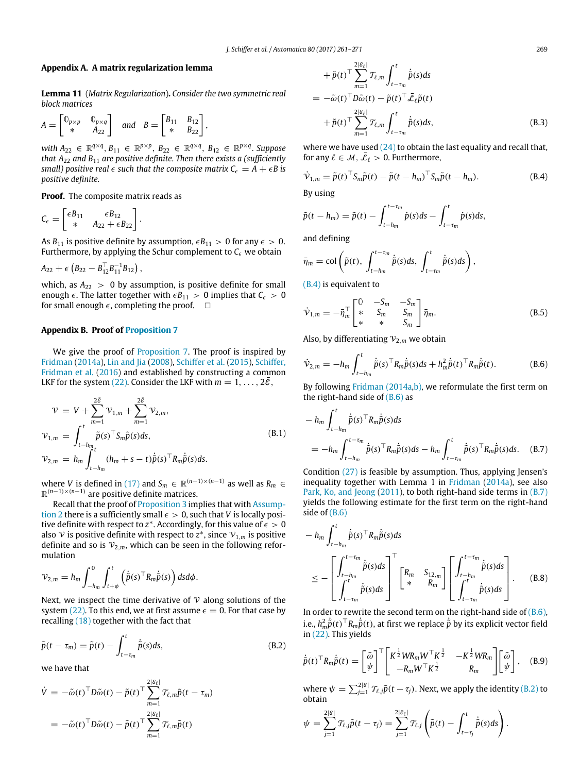## <span id="page-8-1"></span>**Appendix A. A matrix regularization lemma**

<span id="page-8-0"></span>**Lemma 11** (*Matrix Regularization*)**.** *Consider the two symmetric real block matrices*

$$
A = \begin{bmatrix} \mathbb{0}_{p \times p} & \mathbb{0}_{p \times q} \\ * & A_{22} \end{bmatrix} \quad \text{and} \quad B = \begin{bmatrix} B_{11} & B_{12} \\ * & B_{22} \end{bmatrix},
$$

 $with A_{22} \in \mathbb{R}^{q \times q}, B_{11} \in \mathbb{R}^{p \times p}, B_{22} \in \mathbb{R}^{q \times q}, B_{12} \in \mathbb{R}^{p \times q}$ . Suppose *that A*<sup>22</sup> *and B*<sup>11</sup> *are positive definite. Then there exists a (sufficiently small) positive real*  $\epsilon$  *such that the composite matrix*  $C_{\epsilon} = A + \epsilon B$  is *positive definite.*

**Proof.** The composite matrix reads as

$$
C_{\epsilon} = \begin{bmatrix} \epsilon B_{11} & \epsilon B_{12} \\ * & A_{22} + \epsilon B_{22} \end{bmatrix}.
$$

As  $B_{11}$  is positive definite by assumption,  $\epsilon B_{11} > 0$  for any  $\epsilon > 0$ . Furthermore, by applying the Schur complement to  $C_{\epsilon}$  we obtain

$$
A_{22} + \epsilon \left(B_{22} - B_{12}^\top B_{11}^{-1} B_{12}\right),
$$

which, as  $A_{22} > 0$  by assumption, is positive definite for small enough  $\epsilon$ . The latter together with  $\epsilon B_{11} > 0$  implies that  $C_{\epsilon} > 0$ for small enough  $\epsilon$ , completing the proof.  $\Box$ 

## <span id="page-8-2"></span>**Appendix B. Proof of [Proposition 7](#page-6-9)**

We give the proof of [Proposition 7.](#page-6-9) The proof is inspired by [Fridman](#page-9-15) [\(2014a\)](#page-9-15), [Lin](#page-9-18) [and](#page-9-18) [Jia](#page-9-18) [\(2008\)](#page-9-18), [Schiffer](#page-10-19) [et al.](#page-10-19) [\(2015\)](#page-10-19), [Schiffer,](#page-10-20) [Fridman](#page-10-20) [et al.](#page-10-20) [\(2016\)](#page-10-20) and established by constructing a common LKF for the system [\(22\).](#page-5-3) Consider the LKF with  $m = 1, \ldots, 2\overline{6}$ ,

$$
\mathcal{V} = V + \sum_{m=1}^{2\bar{\varepsilon}} \mathcal{V}_{1,m} + \sum_{m=1}^{2\bar{\varepsilon}} \mathcal{V}_{2,m},
$$
  
\n
$$
\mathcal{V}_{1,m} = \int_{t-h_m}^{t} \tilde{p}(s) \mathcal{T} S_m \tilde{p}(s) ds,
$$
  
\n
$$
\mathcal{V}_{2,m} = h_m \int_{t-h_m}^{t} (h_m + s - t) \dot{\tilde{p}}(s) \mathcal{T} R_m \dot{\tilde{p}}(s) ds.
$$
\n(B.1)

where *V* is defined in [\(17\)](#page-4-3) and  $S_m \in \mathbb{R}^{(n-1)\times(n-1)}$  as well as  $R_m \in$ R (*n*−1)×(*n*−1) are positive definite matrices.

Recall that the proof of [Proposition 3](#page-4-5) implies that with [Assump](#page-3-8)[tion 2](#page-3-8) there is a sufficiently small  $\epsilon > 0$ , such that *V* is locally positive definite with respect to  $z^*$ . Accordingly, for this value of  $\epsilon > 0$ also  $\boldsymbol{\nu}$  is positive definite with respect to  $\boldsymbol{z}^*$ , since  $\boldsymbol{\nu}_{1,m}$  is positive definite and so is  $V_{2,m}$ , which can be seen in the following reformulation

$$
\mathcal{V}_{2,m} = h_m \int_{-h_m}^0 \int_{t+\phi}^t \left( \dot{\tilde{p}}(s)^\top R_m \dot{\tilde{p}}(s) \right) ds d\phi.
$$

Next, we inspect the time derivative of  $\nu$  along solutions of the system [\(22\).](#page-5-3) To this end, we at first assume  $\epsilon = 0$ . For that case by recalling [\(18\)](#page-4-4) together with the fact that

$$
\tilde{p}(t - \tau_m) = \tilde{p}(t) - \int_{t - \tau_m}^{t} \dot{\tilde{p}}(s) ds,
$$
\n(B.2)

we have that

$$
\dot{V} = -\tilde{\omega}(t)^{\top} D\tilde{\omega}(t) - \tilde{p}(t)^{\top} \sum_{m=1}^{2|\mathcal{E}_{\ell}|} \mathcal{T}_{\ell,m} \tilde{p}(t - \tau_m)
$$
  
= 
$$
-\tilde{\omega}(t)^{\top} D\tilde{\omega}(t) - \tilde{p}(t)^{\top} \sum_{m=1}^{2|\mathcal{E}_{\ell}|} \mathcal{T}_{\ell,m} \tilde{p}(t)
$$

<span id="page-8-8"></span>
$$
+\tilde{p}(t)^{\top} \sum_{m=1}^{2|\mathcal{E}_{\ell}|} \mathcal{T}_{\ell,m} \int_{t-\tau_m}^t \dot{\tilde{p}}(s) ds
$$
  
=  $-\tilde{\omega}(t)^{\top} D \tilde{\omega}(t) - \tilde{p}(t)^{\top} \bar{\mathcal{L}}_{\ell} \tilde{p}(t)$   
+  $\tilde{p}(t)^{\top} \sum_{m=1}^{2|\mathcal{E}_{\ell}|} \mathcal{T}_{\ell,m} \int_{t-\tau_m}^t \dot{\tilde{p}}(s) ds,$  (B.3)

where we have used  $(24)$  to obtain the last equality and recall that, for any  $\ell \in \mathcal{M}, \bar{\mathcal{L}}_{\ell} > 0$ . Furthermore,

<span id="page-8-3"></span>
$$
\dot{\mathcal{V}}_{1,m} = \tilde{p}(t)^{\top} S_m \tilde{p}(t) - \tilde{p}(t - h_m)^{\top} S_m \tilde{p}(t - h_m).
$$
\n(B.4)

By using

$$
\tilde{p}(t-h_m)=\tilde{p}(t)-\int_{t-h_m}^{t-\tau_m}\dot{p}(s)ds-\int_{t-\tau_m}^t\dot{p}(s)ds,
$$

and defining

$$
\bar{\eta}_m = \text{col}\left(\tilde{p}(t), \int_{t-h_m}^{t-\tau_m} \dot{\tilde{p}}(s)ds, \int_{t-\tau_m}^t \dot{\tilde{p}}(s)ds\right),
$$

[\(B.4\)](#page-8-3) is equivalent to

<span id="page-8-9"></span>
$$
\dot{\mathcal{V}}_{1,m} = -\bar{\eta}_m^{\top} \begin{bmatrix} 0 & -S_m & -S_m \\ * & S_m & S_m \\ * & * & S_m \end{bmatrix} \bar{\eta}_m.
$$
\n(B.5)

Also, by differentiating  $v_{2,m}$  we obtain

<span id="page-8-4"></span>
$$
\dot{\mathcal{V}}_{2,m} = -h_m \int_{t-h_m}^t \dot{\tilde{p}}(s)^\top R_m \dot{\tilde{p}}(s) ds + h_m^2 \dot{\tilde{p}}(t)^\top R_m \dot{\tilde{p}}(t).
$$
 (B.6)

By following [Fridman](#page-9-15) [\(2014a](#page-9-15)[,b\),](#page-9-16) we reformulate the first term on the right-hand side of  $(B.6)$  as

<span id="page-8-5"></span>
$$
- h_m \int_{t-h_m}^t \dot{\tilde{p}}(s)^\top R_m \dot{\tilde{p}}(s) ds
$$
  
=  $- h_m \int_{t-h_m}^{t-\tau_m} \dot{\tilde{p}}(s)^\top R_m \dot{\tilde{p}}(s) ds - h_m \int_{t-\tau_m}^t \dot{\tilde{p}}(s)^\top R_m \dot{\tilde{p}}(s) ds.$  (B.7)

Condition [\(27\)](#page-6-2) is feasible by assumption. Thus, applying Jensen's inequality together with Lemma 1 in [Fridman](#page-9-15) [\(2014a\)](#page-9-15), see also [Park,](#page-9-30) [Ko,](#page-9-30) [and](#page-9-30) [Jeong](#page-9-30) [\(2011\)](#page-9-30), to both right-hand side terms in  $(B.7)$ yields the following estimate for the first term on the right-hand side of [\(B.6\)](#page-8-4)

<span id="page-8-10"></span>
$$
- h_m \int_{t-h_m}^t \tilde{p}(s)^\top R_m \tilde{p}(s) ds
$$
  
\n
$$
\leq - \left[ \int_{t-h_m}^{t-\tau_m} \dot{\tilde{p}}(s) ds \right]^\top \left[ \begin{matrix} R_m & S_{12,m} \\ * & R_m \end{matrix} \right] \left[ \begin{matrix} \int_{t-h_m}^{t-\tau_m} \dot{\tilde{p}}(s) ds \\ \int_{t-\tau_m}^t \dot{\tilde{p}}(s) ds \end{matrix} \right].
$$
 (B.8)

In order to rewrite the second term on the right-hand side of  $(B.6)$ , i.e.,  $h_m^2 \dot{\tilde{p}}(t)^\top R_m \dot{\tilde{p}}(t)$ , at first we replace  $\dot{\tilde{p}}$  by its explicit vector field in [\(22\).](#page-5-3) This yields

<span id="page-8-7"></span><span id="page-8-6"></span>
$$
\dot{\tilde{p}}(t)^{\top} R_m \dot{\tilde{p}}(t) = \begin{bmatrix} \tilde{\omega} \\ \psi \end{bmatrix}^{\top} \begin{bmatrix} K^{\frac{1}{2}} W R_m W^{\top} K^{\frac{1}{2}} & -K^{\frac{1}{2}} W R_m \\ -R_m W^{\top} K^{\frac{1}{2}} & R_m \end{bmatrix} \begin{bmatrix} \tilde{\omega} \\ \psi \end{bmatrix}, \quad (B.9)
$$

where  $\psi = \sum_{j=1}^{2|\mathcal{E}|} \mathcal{T}_{\ell,j} \tilde{p}(t-\tau_j)$ . Next, we apply the identity [\(B.2\)](#page-8-6) to obtain

$$
\psi = \sum_{j=1}^{2|\mathcal{E}|} \mathcal{T}_{\ell,j} \tilde{p}(t-\tau_j) = \sum_{j=1}^{2|\mathcal{E}_{\ell}|} \mathcal{T}_{\ell,j} \left( \tilde{p}(t) - \int_{t-\tau_j}^t \dot{\tilde{p}}(s) ds \right).
$$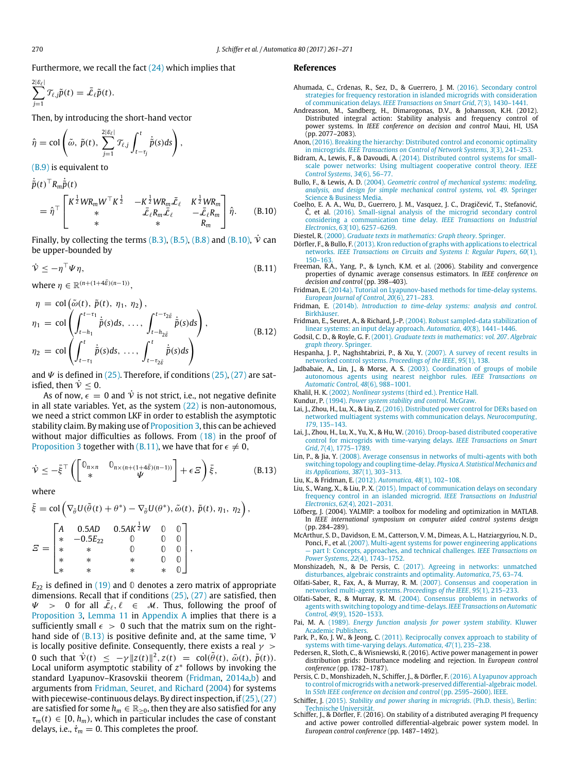Furthermore, we recall the fact  $(24)$  which implies that

$$
\sum_{j=1}^{2|\mathcal{E}_{\ell}|} \mathcal{T}_{\ell,j}\tilde{p}(t) = \bar{\mathcal{L}}_{\ell}\tilde{p}(t).
$$

Then, by introducing the short-hand vector

$$
\hat{\eta} = \text{col}\left(\tilde{\omega}, \ \tilde{p}(t), \ \sum_{j=1}^{2|\mathcal{E}_{\ell}|} \mathcal{T}_{\ell,j} \int_{t-\tau_j}^t \dot{\tilde{p}}(s) ds\right),
$$

[\(B.9\)](#page-8-7) is equivalent to

$$
\dot{\tilde{p}}(t)^{\top} R_m \dot{\tilde{p}}(t) \n= \hat{\eta}^{\top} \begin{bmatrix}\nK^{\frac{1}{2}} W R_m W^{\top} K^{\frac{1}{2}} & -K^{\frac{1}{2}} W R_m \bar{\mathcal{L}}_{\ell} & K^{\frac{1}{2}} W R_m \\
* & \bar{\mathcal{L}}_{\ell} R_m \bar{\mathcal{L}}_{\ell} & -\bar{\mathcal{L}}_{\ell} R_m \\
* & * & R_m\n\end{bmatrix} \hat{\eta}.
$$
\n(B.10)

Finally, by collecting the terms [\(B.3\),](#page-8-8) [\(B.5\),](#page-8-9) [\(B.8\)](#page-8-10) and [\(B.10\),](#page-9-31)  $\dot{V}$  can be upper-bounded by

$$
\dot{\mathcal{V}} \le -\eta^{\top} \Psi \eta, \tag{B.11}
$$

where  $\eta \in \mathbb{R}^{(n+(1+4\bar{\varepsilon})(n-1))}$ ,

$$
\eta = \text{col}\left(\tilde{\omega}(t), \tilde{p}(t), \eta_1, \eta_2\right),
$$
  
\n
$$
\eta_1 = \text{col}\left(\int_{t-h_1}^{t-\tau_1} \dot{\tilde{p}}(s)ds, \dots, \int_{t-h_{2\tilde{\varepsilon}}}^{t-\tau_2 \tilde{\varepsilon}} \dot{\tilde{p}}(s)ds\right),
$$
  
\n
$$
\eta_2 = \text{col}\left(\int_{t-\tau_1}^t \dot{\tilde{p}}(s)ds, \dots, \int_{t-\tau_{2\tilde{\varepsilon}}}^t \dot{\tilde{p}}(s)ds\right)
$$
\n(B.12)

and  $\Psi$  is defined in [\(25\).](#page-6-1) Therefore, if conditions [\(25\),](#page-6-1) [\(27\)](#page-6-2) are satisfied, then  $\dot{v} < 0$ .

As of now,  $\epsilon = 0$  and  $\dot{v}$  is not strict, i.e., not negative definite in all state variables. Yet, as the system  $(22)$  is non-autonomous, we need a strict common LKF in order to establish the asymptotic stability claim. By making use of [Proposition 3,](#page-4-5) this can be achieved without major difficulties as follows. From  $(18)$  in the proof of [Proposition 3](#page-4-5) together with [\(B.11\),](#page-9-32) we have that for  $\epsilon \neq 0$ ,

$$
\dot{\mathcal{V}} \leq -\bar{\xi}^{\top} \left( \begin{bmatrix} \mathbb{0}_{n \times n} & \mathbb{0}_{n \times (n + (1 + 4\bar{\delta})(n-1))} \\ * & \mathcal{V} \end{bmatrix} + \epsilon \, \mathcal{Z} \right) \bar{\xi},\tag{B.13}
$$

where

$$
\bar{\xi} = \text{col}\left(\nabla_{\tilde{\theta}}U(\tilde{\theta}(t) + \theta^*) - \nabla_{\tilde{\theta}}U(\theta^*), \tilde{\omega}(t), \tilde{p}(t), \eta_1, \eta_2\right),
$$
\n
$$
\Xi = \begin{bmatrix}\nA & 0.5AD & 0.5AK^{\frac{1}{2}}W & 0 & 0 \\
* & -0.5E_{22} & 0 & 0 & 0 \\
* & * & 0 & 0 & 0 \\
* & * & * & 0 & 0 \\
* & * & * & * & 0\n\end{bmatrix},
$$

*E*<sup>22</sup> is defined in [\(19\)](#page-4-6) and **0** denotes a zero matrix of appropriate dimensions. Recall that if conditions  $(25)$ ,  $(27)$  are satisfied, then  $\Psi$  > 0 for all  $\bar{\mathcal{L}}_{\ell}, \ell \in \mathcal{M}$ . Thus, following the proof of [Proposition 3,](#page-4-5) [Lemma 11](#page-8-0) in [Appendix A](#page-8-1) implies that there is a sufficiently small  $\epsilon > 0$  such that the matrix sum on the righthand side of  $(B.13)$  is positive definite and, at the same time,  $V$ is locally positive definite. Consequently, there exists a real  $\gamma >$ 0 such that  $\dot{v}(t) \leq -\gamma ||z(t)||^2$ ,  $z(t) = \text{col}(\tilde{\theta}(t), \tilde{\omega}(t), \tilde{p}(t)).$ Local uniform asymptotic stability of *z* ∗ follows by invoking the standard Lyapunov–Krasovskii theorem [\(Fridman,](#page-9-15) [2014a,b\)](#page-9-15) and arguments from [Fridman,](#page-9-34) [Seuret,](#page-9-34) [and](#page-9-34) [Richard](#page-9-34) [\(2004\)](#page-9-34) for systems with piecewise-continuous delays. By direct inspection, if  $(25)$ ,  $(27)$ are satisfied for some  $h_m \in \mathbb{R}_{\geq 0}$ , then they are also satisfied for any  $\tau_m(t) \in [0, h_m)$ , which in particular includes the case of constant delays, i.e.,  $\dot{\tau}_m = 0$ . This completes the proof.

#### **References**

- <span id="page-9-11"></span>Ahumada, C., Crdenas, R., Sez, D., & Guerrero, J. M. (2016). Secondary control str[ategies for frequency restoration in islanded microgrids with consideration](http://refhub.elsevier.com/S0005-1098(17)30114-0/sbref1) of communication delays. *IEEE Transactions on Smart Grid*, *7*(3), 1430–1441.
- <span id="page-9-5"></span>Andreasson, M., Sandberg, H., Dimarogonas, D.V., & Johansson, K.H. (2012). Distributed integral action: Stability analysis and frequency control of power systems. In *IEEE conference on decision and control* Maui, HI, USA (pp. 2077–2083).
- <span id="page-9-8"></span>Anon, ([2016\). Breaking the hierarchy: Distributed control and economic optimality](http://refhub.elsevier.com/S0005-1098(17)30114-0/sbref3) in microgrids. *IEEE Transactions on Control of Network Systems*, *3*(3), 241–253.
- <span id="page-9-3"></span>Bidram, A., Lewis, F., & Davoudi, A. (2014). Distributed control systems for smallsca[le power networks: Using multiagent cooperative control theory.](http://refhub.elsevier.com/S0005-1098(17)30114-0/sbref4) *IEEE Control Systems*, *34*(6), 56–77.
- <span id="page-9-26"></span>Bullo, F., & Lewis, A. D. (2004). *Geometric control of mechanical systems: modeling, ana[lysis, and design for simple mechanical control systems, vol. 49](http://refhub.elsevier.com/S0005-1098(17)30114-0/sbref5)*. Springer Science & Business Media.
- <span id="page-9-31"></span><span id="page-9-12"></span>Coelho, [E. A. A., Wu, D., Guerrero, J. M., Vasquez, J. C., Dragičević, T., Stefanović,](http://refhub.elsevier.com/S0005-1098(17)30114-0/sbref6) Č, et al. (2016). Small-signal analysis of the microgrid secondary control considering a communication time delay. *IEEE Transactions on Industrial Electronics*, *63*(10), 6257–6269.

<span id="page-9-21"></span>Diestel, R. (2000). *[Graduate texts in mathematics: Graph theory](http://refhub.elsevier.com/S0005-1098(17)30114-0/sbref7)*. Springer.

- <span id="page-9-22"></span>Dörfler, [F., & Bullo, F.\(2013\). Kron reduction of graphs with applications to electrical](http://refhub.elsevier.com/S0005-1098(17)30114-0/sbref8) networks. *IEEE Transactions on Circuits and Systems I: Regular Papers*, *60*(1), 150–163.
- <span id="page-9-32"></span><span id="page-9-1"></span>Freeman, R.A., Yang, P., & Lynch, K.M. et al. (2006). Stability and convergence properties of dynamic average consensus estimators. In *IEEE conference on decision and control* (pp. 398–403).
- <span id="page-9-15"></span>Fridman, E. [\(2014a\). Tutorial on Lyapunov-based methods for time-delay systems.](http://refhub.elsevier.com/S0005-1098(17)30114-0/sbref10) *European Journal of Control*, *20*(6), 271–283.
- <span id="page-9-16"></span>Fridman, E. (2014b). *[Introduction to time-delay systems: analysis and control](http://refhub.elsevier.com/S0005-1098(17)30114-0/sbref11)*. Birkhäuser.
- <span id="page-9-34"></span>Fridman, E., Seuret, A., & Richard, J.-P. [\(2004\). Robust sampled-data stabilization of](http://refhub.elsevier.com/S0005-1098(17)30114-0/sbref12) linear systems: an input delay approach. *Automatica*, *40*(8), 1441–1446.
- <span id="page-9-20"></span>Godsil, C. D., & Royle, G. F. (2001). *[Graduate texts in mathematics](http://refhub.elsevier.com/S0005-1098(17)30114-0/sbref13)*: *vol. 207*. *Algebraic graph theory*. Springer.
- <span id="page-9-17"></span>Hespanha, J. P., Naghshtabrizi, P., & Xu, Y. [\(2007\). A survey of recent results in](http://refhub.elsevier.com/S0005-1098(17)30114-0/sbref14) networked control systems. *Proceedings of the IEEE*, *95*(1), 138.
- <span id="page-9-29"></span>Jadbabaie, A., Lin, J., & Morse, A. S. (2003). Coordination of groups of mobile aut[onomous agents using nearest neighbor rules.](http://refhub.elsevier.com/S0005-1098(17)30114-0/sbref15) *IEEE Transactions on Automatic Control*, *48*(6), 988–1001.
- <span id="page-9-27"></span>Khalil, H. K. (2002). *Nonlinear systems* [\(third ed.\). Prentice Hall.](http://refhub.elsevier.com/S0005-1098(17)30114-0/sbref16)
- <span id="page-9-4"></span>Kundur, P. (1994). *[Power system stability and control](http://refhub.elsevier.com/S0005-1098(17)30114-0/sbref17)*. McGraw.
- <span id="page-9-13"></span>Lai, J., Zhou, H., Lu, X., & Liu, Z. (2016). Distributed power control for DERs based on net[worked multiagent systems with communication delays.](http://refhub.elsevier.com/S0005-1098(17)30114-0/sbref18) *Neurocomputing*, *179*, 135–143.
- <span id="page-9-14"></span>Lai, J., Zhou, H., Lu, X., Yu, X., & Hu, W. (2016). Droop-based distributed cooperative con[trol for microgrids with time-varying delays.](http://refhub.elsevier.com/S0005-1098(17)30114-0/sbref19) *IEEE Transactions on Smart Grid*, *7*(4), 1775–1789.
- <span id="page-9-33"></span><span id="page-9-18"></span>Lin, P., & Jia, Y. [\(2008\). Average consensus in networks of multi-agents with both](http://refhub.elsevier.com/S0005-1098(17)30114-0/sbref20) switching topology and coupling time-delay. *Physica A. Statistical Mechanics and its Applications*, *387*(1), 303–313.
- Liu, K., & Fridman, E. (2012). *Automatica*, *48*[\(1\), 102–108.](http://refhub.elsevier.com/S0005-1098(17)30114-0/sbref21)
- <span id="page-9-10"></span>Liu, S., Wang, X., & Liu, P. X. [\(2015\). Impact of communication delays on secondary](http://refhub.elsevier.com/S0005-1098(17)30114-0/sbref22) frequency control in an islanded microgrid. *IEEE Transactions on Industrial Electronics*, *62*(4), 2021–2031.
- <span id="page-9-28"></span>Löfberg, J. (2004). YALMIP: a toolbox for modeling and optimization in MATLAB. In *IEEE international symposium on computer aided control systems design* (pp. 284–289).
- <span id="page-9-0"></span>McArth[ur, S. D., Davidson, E. M., Catterson, V. M., Dimeas, A. L., Hatziargyriou, N. D.,](http://refhub.elsevier.com/S0005-1098(17)30114-0/sbref24) Ponci, F., et al. (2007). Multi-agent systems for power engineering applications — part I: Concepts, approaches, and technical challenges. *IEEE Transactions on Power Systems*, *22*(4), 1743–1752.
- <span id="page-9-6"></span>Monshizadeh, N., & De Persis, C. (2017). Agreeing in networks: unmatched dis[turbances, algebraic constraints and optimality.](http://refhub.elsevier.com/S0005-1098(17)30114-0/sbref25) *Automatica*, *75*, 63–74.
- <span id="page-9-2"></span>Olfati-Saber, R., Fax, A., & Murray, R. M. [\(2007\). Consensus and cooperation in](http://refhub.elsevier.com/S0005-1098(17)30114-0/sbref26) networked multi-agent systems. *Proceedings of the IEEE*, *95*(1), 215–233.
- <span id="page-9-19"></span>Olfati-Saber, R., & Murray, R. M. [\(2004\). Consensus problems in networks of](http://refhub.elsevier.com/S0005-1098(17)30114-0/sbref27) agents with switching topology and time-delays. *IEEE Transactions on Automatic Control*, *49*(9), 1520–1533.
- <span id="page-9-25"></span>Pai, M. A. (1989). *[Energy function analysis for power system stability](http://refhub.elsevier.com/S0005-1098(17)30114-0/sbref28)*. Kluwer Academic Publishers.
- <span id="page-9-30"></span>Park, P., Ko, J. W., & Jeong, C. [\(2011\). Reciprocally convex approach to stability of](http://refhub.elsevier.com/S0005-1098(17)30114-0/sbref29) systems with time-varying delays. *Automatica*, *47*(1), 235–238.
- <span id="page-9-24"></span>Pedersen, R., Sloth, C., & Wisniewski, R. (2016). Active power management in power distribution grids: Disturbance modeling and rejection. In *European control conference* (pp. 1782–1787).
- <span id="page-9-9"></span>Persis, C. D., Monshizadeh, N., Schiffer, J., & Dörfler, F. (2016). A Lyapunov approach to c[ontrol of microgrids with a network-preserved differential-algebraic model.](http://refhub.elsevier.com/S0005-1098(17)30114-0/sbref31) In *55th IEEE conference on decision and control* (pp. 2595–2600). IEEE.
- <span id="page-9-23"></span>Schiffer, J. (2015). *[Stability and power sharing in microgrids](http://refhub.elsevier.com/S0005-1098(17)30114-0/sbref32)*. (Ph.D. thesis), Berlin: Technische Universität.
- <span id="page-9-7"></span>Schiffer, J., & Dörfler, F. (2016). On stability of a distributed averaging PI frequency and active power controlled differential-algebraic power system model. In *European control conference* (pp. 1487–1492).